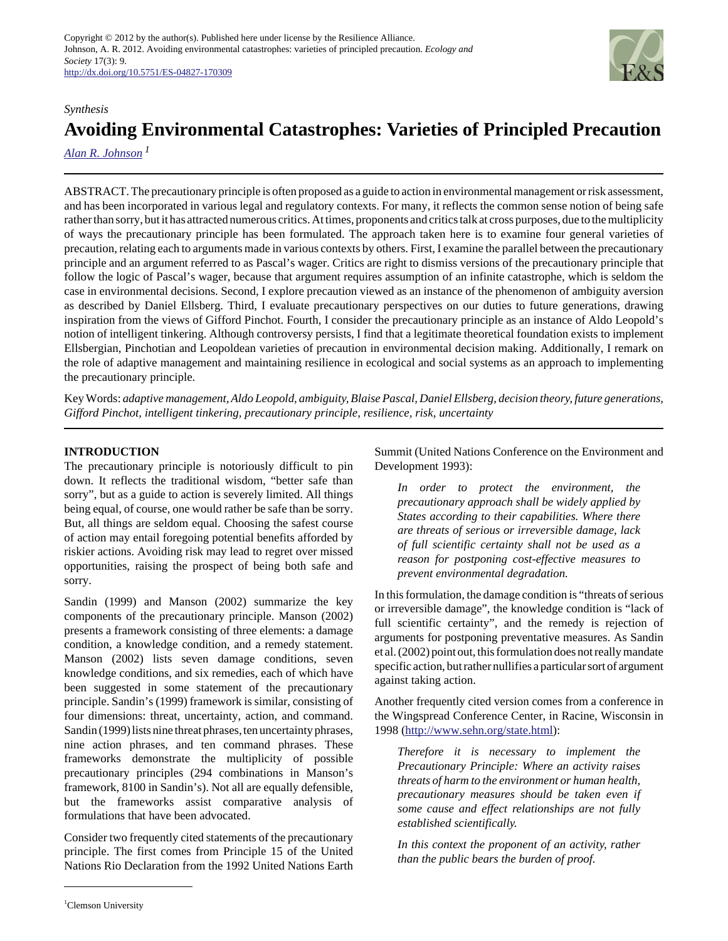

#### *Synthesis*

# **Avoiding Environmental Catastrophes: Varieties of Principled Precaution**

*[Alan R. Johnson](mailto:Alanj@Clemson.edu)<sup>1</sup>*

ABSTRACT. The precautionary principle is often proposed as a guide to action in environmental management or risk assessment, and has been incorporated in various legal and regulatory contexts. For many, it reflects the common sense notion of being safe rather than sorry, but it has attracted numerous critics. At times, proponents and critics talk at cross purposes, due to the multiplicity of ways the precautionary principle has been formulated. The approach taken here is to examine four general varieties of precaution, relating each to arguments made in various contexts by others. First, I examine the parallel between the precautionary principle and an argument referred to as Pascal's wager. Critics are right to dismiss versions of the precautionary principle that follow the logic of Pascal's wager, because that argument requires assumption of an infinite catastrophe, which is seldom the case in environmental decisions. Second, I explore precaution viewed as an instance of the phenomenon of ambiguity aversion as described by Daniel Ellsberg. Third, I evaluate precautionary perspectives on our duties to future generations, drawing inspiration from the views of Gifford Pinchot. Fourth, I consider the precautionary principle as an instance of Aldo Leopold's notion of intelligent tinkering. Although controversy persists, I find that a legitimate theoretical foundation exists to implement Ellsbergian, Pinchotian and Leopoldean varieties of precaution in environmental decision making. Additionally, I remark on the role of adaptive management and maintaining resilience in ecological and social systems as an approach to implementing the precautionary principle.

Key Words: *adaptive management, Aldo Leopold, ambiguity, Blaise Pascal, Daniel Ellsberg, decision theory, future generations, Gifford Pinchot, intelligent tinkering, precautionary principle, resilience, risk, uncertainty*

## **INTRODUCTION**

The precautionary principle is notoriously difficult to pin down. It reflects the traditional wisdom, "better safe than sorry", but as a guide to action is severely limited. All things being equal, of course, one would rather be safe than be sorry. But, all things are seldom equal. Choosing the safest course of action may entail foregoing potential benefits afforded by riskier actions. Avoiding risk may lead to regret over missed opportunities, raising the prospect of being both safe and sorry.

Sandin (1999) and Manson (2002) summarize the key components of the precautionary principle. Manson (2002) presents a framework consisting of three elements: a damage condition, a knowledge condition, and a remedy statement. Manson (2002) lists seven damage conditions, seven knowledge conditions, and six remedies, each of which have been suggested in some statement of the precautionary principle. Sandin's (1999) framework is similar, consisting of four dimensions: threat, uncertainty, action, and command. Sandin (1999) lists nine threat phrases, ten uncertainty phrases, nine action phrases, and ten command phrases. These frameworks demonstrate the multiplicity of possible precautionary principles (294 combinations in Manson's framework, 8100 in Sandin's). Not all are equally defensible, but the frameworks assist comparative analysis of formulations that have been advocated.

Consider two frequently cited statements of the precautionary principle. The first comes from Principle 15 of the United Nations Rio Declaration from the 1992 United Nations Earth

Summit (United Nations Conference on the Environment and Development 1993):

*In order to protect the environment, the precautionary approach shall be widely applied by States according to their capabilities. Where there are threats of serious or irreversible damage, lack of full scientific certainty shall not be used as a reason for postponing cost-effective measures to prevent environmental degradation.*

In this formulation, the damage condition is "threats of serious or irreversible damage", the knowledge condition is "lack of full scientific certainty", and the remedy is rejection of arguments for postponing preventative measures. As Sandin et al. (2002) point out, this formulation does not really mandate specific action, but rather nullifies a particular sort of argument against taking action.

Another frequently cited version comes from a conference in the Wingspread Conference Center, in Racine, Wisconsin in 1998 (<http://www.sehn.org/state.html>):

*Therefore it is necessary to implement the Precautionary Principle: Where an activity raises threats of harm to the environment or human health, precautionary measures should be taken even if some cause and effect relationships are not fully established scientifically.* 

*In this context the proponent of an activity, rather than the public bears the burden of proof.*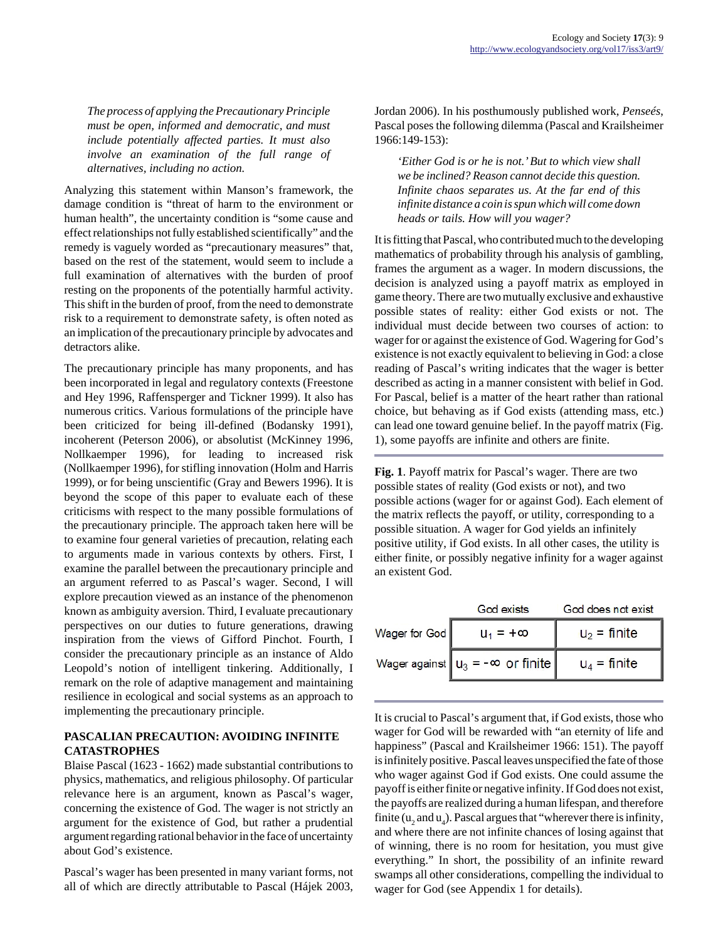*The process of applying the Precautionary Principle must be open, informed and democratic, and must include potentially affected parties. It must also involve an examination of the full range of alternatives, including no action.* 

Analyzing this statement within Manson's framework, the damage condition is "threat of harm to the environment or human health", the uncertainty condition is "some cause and effect relationships not fully established scientifically" and the remedy is vaguely worded as "precautionary measures" that, based on the rest of the statement, would seem to include a full examination of alternatives with the burden of proof resting on the proponents of the potentially harmful activity. This shift in the burden of proof, from the need to demonstrate risk to a requirement to demonstrate safety, is often noted as an implication of the precautionary principle by advocates and detractors alike.

The precautionary principle has many proponents, and has been incorporated in legal and regulatory contexts (Freestone and Hey 1996, Raffensperger and Tickner 1999). It also has numerous critics. Various formulations of the principle have been criticized for being ill-defined (Bodansky 1991), incoherent (Peterson 2006), or absolutist (McKinney 1996, Nollkaemper 1996), for leading to increased risk (Nollkaemper 1996), for stifling innovation (Holm and Harris 1999), or for being unscientific (Gray and Bewers 1996). It is beyond the scope of this paper to evaluate each of these criticisms with respect to the many possible formulations of the precautionary principle. The approach taken here will be to examine four general varieties of precaution, relating each to arguments made in various contexts by others. First, I examine the parallel between the precautionary principle and an argument referred to as Pascal's wager. Second, I will explore precaution viewed as an instance of the phenomenon known as ambiguity aversion. Third, I evaluate precautionary perspectives on our duties to future generations, drawing inspiration from the views of Gifford Pinchot. Fourth, I consider the precautionary principle as an instance of Aldo Leopold's notion of intelligent tinkering. Additionally, I remark on the role of adaptive management and maintaining resilience in ecological and social systems as an approach to implementing the precautionary principle.

## **PASCALIAN PRECAUTION: AVOIDING INFINITE CATASTROPHES**

Blaise Pascal (1623 - 1662) made substantial contributions to physics, mathematics, and religious philosophy. Of particular relevance here is an argument, known as Pascal's wager, concerning the existence of God. The wager is not strictly an argument for the existence of God, but rather a prudential argument regarding rational behavior in the face of uncertainty about God's existence.

Pascal's wager has been presented in many variant forms, not all of which are directly attributable to Pascal (Hájek 2003, Jordan 2006). In his posthumously published work, *Penseés*, Pascal poses the following dilemma (Pascal and Krailsheimer 1966:149-153):

*'Either God is or he is not.' But to which view shall we be inclined? Reason cannot decide this question. Infinite chaos separates us. At the far end of this infinite distance a coin is spun which will come down heads or tails. How will you wager?*

It is fitting that Pascal, who contributed much to the developing mathematics of probability through his analysis of gambling, frames the argument as a wager. In modern discussions, the decision is analyzed using a payoff matrix as employed in game theory. There are two mutually exclusive and exhaustive possible states of reality: either God exists or not. The individual must decide between two courses of action: to wager for or against the existence of God. Wagering for God's existence is not exactly equivalent to believing in God: a close reading of Pascal's writing indicates that the wager is better described as acting in a manner consistent with belief in God. For Pascal, belief is a matter of the heart rather than rational choice, but behaving as if God exists (attending mass, etc.) can lead one toward genuine belief. In the payoff matrix (Fig. 1), some payoffs are infinite and others are finite.

**Fig. 1**. Payoff matrix for Pascal's wager. There are two possible states of reality (God exists or not), and two possible actions (wager for or against God). Each element of the matrix reflects the payoff, or utility, corresponding to a possible situation. A wager for God yields an infinitely positive utility, if God exists. In all other cases, the utility is either finite, or possibly negative infinity for a wager against an existent God.

|               | God exists                                       | God does not exist |
|---------------|--------------------------------------------------|--------------------|
| Wager for God | $U_1 = +\infty$                                  | $u_2$ = finite     |
|               | Wager against $\mathbf{u}_3 = -\infty$ or finite | $u_4$ = finite     |

It is crucial to Pascal's argument that, if God exists, those who wager for God will be rewarded with "an eternity of life and happiness" (Pascal and Krailsheimer 1966: 151). The payoff is infinitely positive. Pascal leaves unspecified the fate of those who wager against God if God exists. One could assume the payoff is either finite or negative infinity. If God does not exist, the payoffs are realized during a human lifespan, and therefore finite ( $u_2$  and  $u_4$ ). Pascal argues that "wherever there is infinity, and where there are not infinite chances of losing against that of winning, there is no room for hesitation, you must give everything." In short, the possibility of an infinite reward swamps all other considerations, compelling the individual to wager for God (see Appendix 1 for details).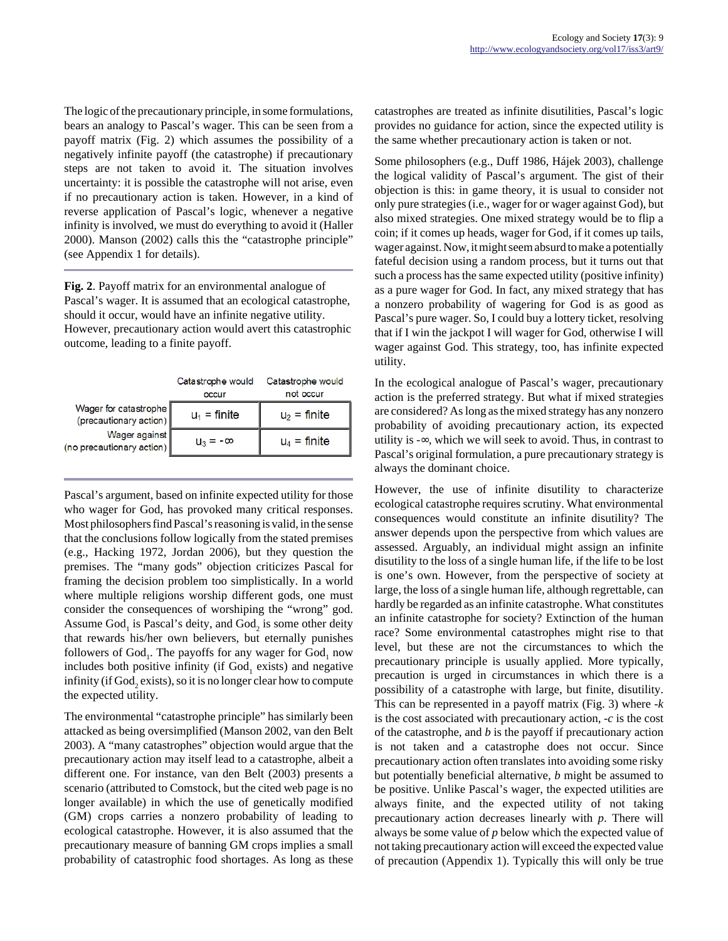The logic of the precautionary principle, in some formulations, bears an analogy to Pascal's wager. This can be seen from a payoff matrix (Fig. 2) which assumes the possibility of a negatively infinite payoff (the catastrophe) if precautionary steps are not taken to avoid it. The situation involves uncertainty: it is possible the catastrophe will not arise, even if no precautionary action is taken. However, in a kind of reverse application of Pascal's logic, whenever a negative infinity is involved, we must do everything to avoid it (Haller 2000). Manson (2002) calls this the "catastrophe principle" (see Appendix 1 for details).

**Fig. 2**. Payoff matrix for an environmental analogue of Pascal's wager. It is assumed that an ecological catastrophe, should it occur, would have an infinite negative utility. However, precautionary action would avert this catastrophic outcome, leading to a finite payoff.

|                                                                                               | Catastrophe would<br>occur | Catastrophe would<br>not occur |
|-----------------------------------------------------------------------------------------------|----------------------------|--------------------------------|
| Wager for catastrophe<br>(precautionary action)<br>Wager against<br>(no precautionary action) | $u_1$ = finite             | $u_2$ = finite                 |
|                                                                                               | $u_3 = -\infty$            | $u_4$ = finite                 |

Pascal's argument, based on infinite expected utility for those who wager for God, has provoked many critical responses. Most philosophers find Pascal's reasoning is valid, in the sense that the conclusions follow logically from the stated premises (e.g., Hacking 1972, Jordan 2006), but they question the premises. The "many gods" objection criticizes Pascal for framing the decision problem too simplistically. In a world where multiple religions worship different gods, one must consider the consequences of worshiping the "wrong" god. Assume  $God_1$  is Pascal's deity, and  $God_2$  is some other deity that rewards his/her own believers, but eternally punishes followers of  $God_1$ . The payoffs for any wager for  $God_1$  now includes both positive infinity (if  $God_1$  exists) and negative infinity (if  $\mathrm{God}_2$  exists), so it is no longer clear how to compute the expected utility.

The environmental "catastrophe principle" has similarly been attacked as being oversimplified (Manson 2002, van den Belt 2003). A "many catastrophes" objection would argue that the precautionary action may itself lead to a catastrophe, albeit a different one. For instance, van den Belt (2003) presents a scenario (attributed to Comstock, but the cited web page is no longer available) in which the use of genetically modified (GM) crops carries a nonzero probability of leading to ecological catastrophe. However, it is also assumed that the precautionary measure of banning GM crops implies a small probability of catastrophic food shortages. As long as these catastrophes are treated as infinite disutilities, Pascal's logic provides no guidance for action, since the expected utility is the same whether precautionary action is taken or not.

Some philosophers (e.g., Duff 1986, Hájek 2003), challenge the logical validity of Pascal's argument. The gist of their objection is this: in game theory, it is usual to consider not only pure strategies (i.e., wager for or wager against God), but also mixed strategies. One mixed strategy would be to flip a coin; if it comes up heads, wager for God, if it comes up tails, wager against. Now, it might seem absurd to make a potentially fateful decision using a random process, but it turns out that such a process has the same expected utility (positive infinity) as a pure wager for God. In fact, any mixed strategy that has a nonzero probability of wagering for God is as good as Pascal's pure wager. So, I could buy a lottery ticket, resolving that if I win the jackpot I will wager for God, otherwise I will wager against God. This strategy, too, has infinite expected utility.

In the ecological analogue of Pascal's wager, precautionary action is the preferred strategy. But what if mixed strategies are considered? As long as the mixed strategy has any nonzero probability of avoiding precautionary action, its expected utility is -∞, which we will seek to avoid. Thus, in contrast to Pascal's original formulation, a pure precautionary strategy is always the dominant choice.

However, the use of infinite disutility to characterize ecological catastrophe requires scrutiny. What environmental consequences would constitute an infinite disutility? The answer depends upon the perspective from which values are assessed. Arguably, an individual might assign an infinite disutility to the loss of a single human life, if the life to be lost is one's own. However, from the perspective of society at large, the loss of a single human life, although regrettable, can hardly be regarded as an infinite catastrophe. What constitutes an infinite catastrophe for society? Extinction of the human race? Some environmental catastrophes might rise to that level, but these are not the circumstances to which the precautionary principle is usually applied. More typically, precaution is urged in circumstances in which there is a possibility of a catastrophe with large, but finite, disutility. This can be represented in a payoff matrix (Fig. 3) where -*k* is the cost associated with precautionary action, -*c* is the cost of the catastrophe, and *b* is the payoff if precautionary action is not taken and a catastrophe does not occur. Since precautionary action often translates into avoiding some risky but potentially beneficial alternative, *b* might be assumed to be positive. Unlike Pascal's wager, the expected utilities are always finite, and the expected utility of not taking precautionary action decreases linearly with *p*. There will always be some value of *p* below which the expected value of not taking precautionary action will exceed the expected value of precaution (Appendix 1). Typically this will only be true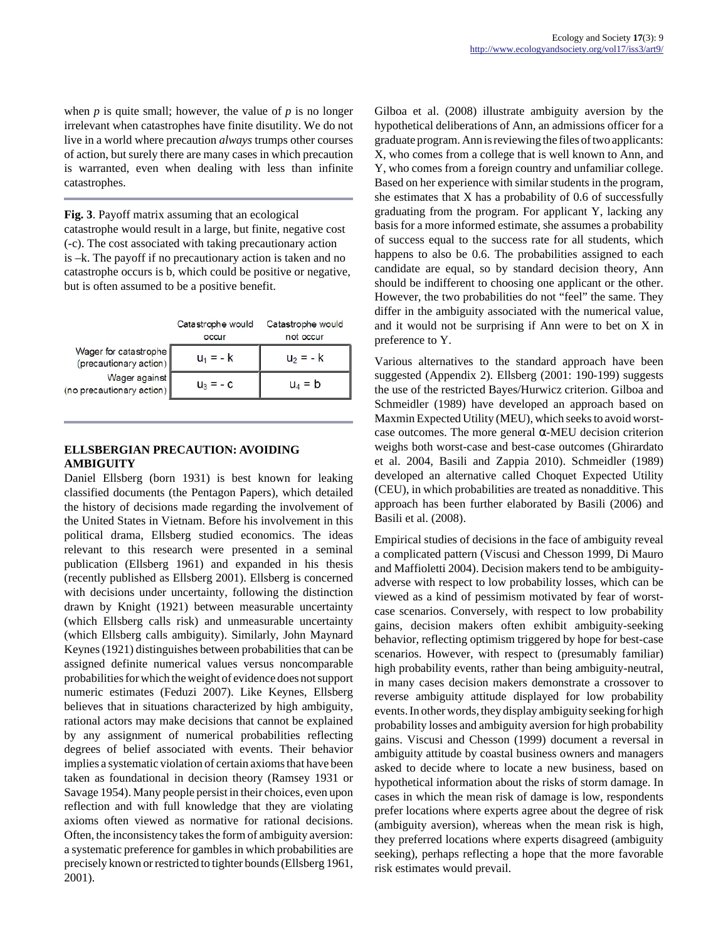when *p* is quite small; however, the value of *p* is no longer irrelevant when catastrophes have finite disutility. We do not live in a world where precaution *always* trumps other courses of action, but surely there are many cases in which precaution is warranted, even when dealing with less than infinite catastrophes.

**Fig. 3**. Payoff matrix assuming that an ecological

catastrophe would result in a large, but finite, negative cost (-c). The cost associated with taking precautionary action is –k. The payoff if no precautionary action is taken and no catastrophe occurs is b, which could be positive or negative, but is often assumed to be a positive benefit.

|                                                                                               | Catastrophe would<br>occur | Catastrophe would<br>not occur |
|-----------------------------------------------------------------------------------------------|----------------------------|--------------------------------|
| Wager for catastrophe<br>(precautionary action)<br>Wager against<br>(no precautionary action) | $u_1 = -k$                 | $u_2 = -k$                     |
|                                                                                               | $u_3 = -c$                 | $u_4 = b$                      |

## **ELLSBERGIAN PRECAUTION: AVOIDING AMBIGUITY**

Daniel Ellsberg (born 1931) is best known for leaking classified documents (the Pentagon Papers), which detailed the history of decisions made regarding the involvement of the United States in Vietnam. Before his involvement in this political drama, Ellsberg studied economics. The ideas relevant to this research were presented in a seminal publication (Ellsberg 1961) and expanded in his thesis (recently published as Ellsberg 2001). Ellsberg is concerned with decisions under uncertainty, following the distinction drawn by Knight (1921) between measurable uncertainty (which Ellsberg calls risk) and unmeasurable uncertainty (which Ellsberg calls ambiguity). Similarly, John Maynard Keynes (1921) distinguishes between probabilities that can be assigned definite numerical values versus noncomparable probabilities for which the weight of evidence does not support numeric estimates (Feduzi 2007). Like Keynes, Ellsberg believes that in situations characterized by high ambiguity, rational actors may make decisions that cannot be explained by any assignment of numerical probabilities reflecting degrees of belief associated with events. Their behavior implies a systematic violation of certain axioms that have been taken as foundational in decision theory (Ramsey 1931 or Savage 1954). Many people persist in their choices, even upon reflection and with full knowledge that they are violating axioms often viewed as normative for rational decisions. Often, the inconsistency takes the form of ambiguity aversion: a systematic preference for gambles in which probabilities are precisely known or restricted to tighter bounds (Ellsberg 1961, 2001).

Gilboa et al. (2008) illustrate ambiguity aversion by the hypothetical deliberations of Ann, an admissions officer for a graduate program. Ann is reviewing the files of two applicants: X, who comes from a college that is well known to Ann, and Y, who comes from a foreign country and unfamiliar college. Based on her experience with similar students in the program, she estimates that X has a probability of 0.6 of successfully graduating from the program. For applicant Y, lacking any basis for a more informed estimate, she assumes a probability of success equal to the success rate for all students, which happens to also be 0.6. The probabilities assigned to each candidate are equal, so by standard decision theory, Ann should be indifferent to choosing one applicant or the other. However, the two probabilities do not "feel" the same. They differ in the ambiguity associated with the numerical value, and it would not be surprising if Ann were to bet on X in preference to Y.

Various alternatives to the standard approach have been suggested (Appendix 2). Ellsberg (2001: 190-199) suggests the use of the restricted Bayes/Hurwicz criterion. Gilboa and Schmeidler (1989) have developed an approach based on Maxmin Expected Utility (MEU), which seeks to avoid worstcase outcomes. The more general  $\alpha$ -MEU decision criterion weighs both worst-case and best-case outcomes (Ghirardato et al. 2004, Basili and Zappia 2010). Schmeidler (1989) developed an alternative called Choquet Expected Utility (CEU), in which probabilities are treated as nonadditive. This approach has been further elaborated by Basili (2006) and Basili et al. (2008).

Empirical studies of decisions in the face of ambiguity reveal a complicated pattern (Viscusi and Chesson 1999, Di Mauro and Maffioletti 2004). Decision makers tend to be ambiguityadverse with respect to low probability losses, which can be viewed as a kind of pessimism motivated by fear of worstcase scenarios. Conversely, with respect to low probability gains, decision makers often exhibit ambiguity-seeking behavior, reflecting optimism triggered by hope for best-case scenarios. However, with respect to (presumably familiar) high probability events, rather than being ambiguity-neutral, in many cases decision makers demonstrate a crossover to reverse ambiguity attitude displayed for low probability events. In other words, they display ambiguity seeking for high probability losses and ambiguity aversion for high probability gains. Viscusi and Chesson (1999) document a reversal in ambiguity attitude by coastal business owners and managers asked to decide where to locate a new business, based on hypothetical information about the risks of storm damage. In cases in which the mean risk of damage is low, respondents prefer locations where experts agree about the degree of risk (ambiguity aversion), whereas when the mean risk is high, they preferred locations where experts disagreed (ambiguity seeking), perhaps reflecting a hope that the more favorable risk estimates would prevail.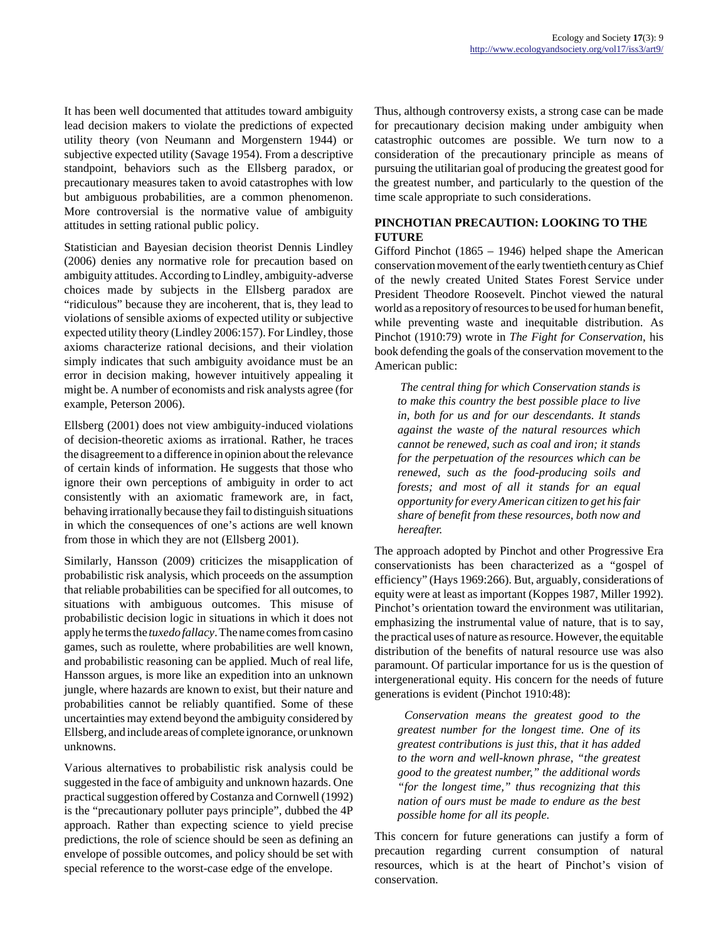It has been well documented that attitudes toward ambiguity lead decision makers to violate the predictions of expected utility theory (von Neumann and Morgenstern 1944) or subjective expected utility (Savage 1954). From a descriptive standpoint, behaviors such as the Ellsberg paradox, or precautionary measures taken to avoid catastrophes with low but ambiguous probabilities, are a common phenomenon. More controversial is the normative value of ambiguity attitudes in setting rational public policy.

Statistician and Bayesian decision theorist Dennis Lindley (2006) denies any normative role for precaution based on ambiguity attitudes. According to Lindley, ambiguity-adverse choices made by subjects in the Ellsberg paradox are "ridiculous" because they are incoherent, that is, they lead to violations of sensible axioms of expected utility or subjective expected utility theory (Lindley 2006:157). For Lindley, those axioms characterize rational decisions, and their violation simply indicates that such ambiguity avoidance must be an error in decision making, however intuitively appealing it might be. A number of economists and risk analysts agree (for example, Peterson 2006).

Ellsberg (2001) does not view ambiguity-induced violations of decision-theoretic axioms as irrational. Rather, he traces the disagreement to a difference in opinion about the relevance of certain kinds of information. He suggests that those who ignore their own perceptions of ambiguity in order to act consistently with an axiomatic framework are, in fact, behaving irrationally because they fail to distinguish situations in which the consequences of one's actions are well known from those in which they are not (Ellsberg 2001).

Similarly, Hansson (2009) criticizes the misapplication of probabilistic risk analysis, which proceeds on the assumption that reliable probabilities can be specified for all outcomes, to situations with ambiguous outcomes. This misuse of probabilistic decision logic in situations in which it does not apply he terms the *tuxedo fallacy*. The name comes from casino games, such as roulette, where probabilities are well known, and probabilistic reasoning can be applied. Much of real life, Hansson argues, is more like an expedition into an unknown jungle, where hazards are known to exist, but their nature and probabilities cannot be reliably quantified. Some of these uncertainties may extend beyond the ambiguity considered by Ellsberg, and include areas of complete ignorance, or unknown unknowns.

Various alternatives to probabilistic risk analysis could be suggested in the face of ambiguity and unknown hazards. One practical suggestion offered by Costanza and Cornwell (1992) is the "precautionary polluter pays principle", dubbed the 4P approach. Rather than expecting science to yield precise predictions, the role of science should be seen as defining an envelope of possible outcomes, and policy should be set with special reference to the worst-case edge of the envelope.

Thus, although controversy exists, a strong case can be made for precautionary decision making under ambiguity when catastrophic outcomes are possible. We turn now to a consideration of the precautionary principle as means of pursuing the utilitarian goal of producing the greatest good for the greatest number, and particularly to the question of the time scale appropriate to such considerations.

## **PINCHOTIAN PRECAUTION: LOOKING TO THE FUTURE**

Gifford Pinchot (1865 – 1946) helped shape the American conservation movement of the early twentieth century as Chief of the newly created United States Forest Service under President Theodore Roosevelt. Pinchot viewed the natural world as a repository of resources to be used for human benefit, while preventing waste and inequitable distribution. As Pinchot (1910:79) wrote in *The Fight for Conservation*, his book defending the goals of the conservation movement to the American public:

*The central thing for which Conservation stands is to make this country the best possible place to live in, both for us and for our descendants. It stands against the waste of the natural resources which cannot be renewed, such as coal and iron; it stands for the perpetuation of the resources which can be renewed, such as the food-producing soils and forests; and most of all it stands for an equal opportunity for every American citizen to get his fair share of benefit from these resources, both now and hereafter.*

The approach adopted by Pinchot and other Progressive Era conservationists has been characterized as a "gospel of efficiency" (Hays 1969:266). But, arguably, considerations of equity were at least as important (Koppes 1987, Miller 1992). Pinchot's orientation toward the environment was utilitarian, emphasizing the instrumental value of nature, that is to say, the practical uses of nature as resource. However, the equitable distribution of the benefits of natural resource use was also paramount. Of particular importance for us is the question of intergenerational equity. His concern for the needs of future generations is evident (Pinchot 1910:48):

*Conservation means the greatest good to the greatest number for the longest time. One of its greatest contributions is just this, that it has added to the worn and well-known phrase, "the greatest good to the greatest number," the additional words "for the longest time," thus recognizing that this nation of ours must be made to endure as the best possible home for all its people.*

This concern for future generations can justify a form of precaution regarding current consumption of natural resources, which is at the heart of Pinchot's vision of conservation.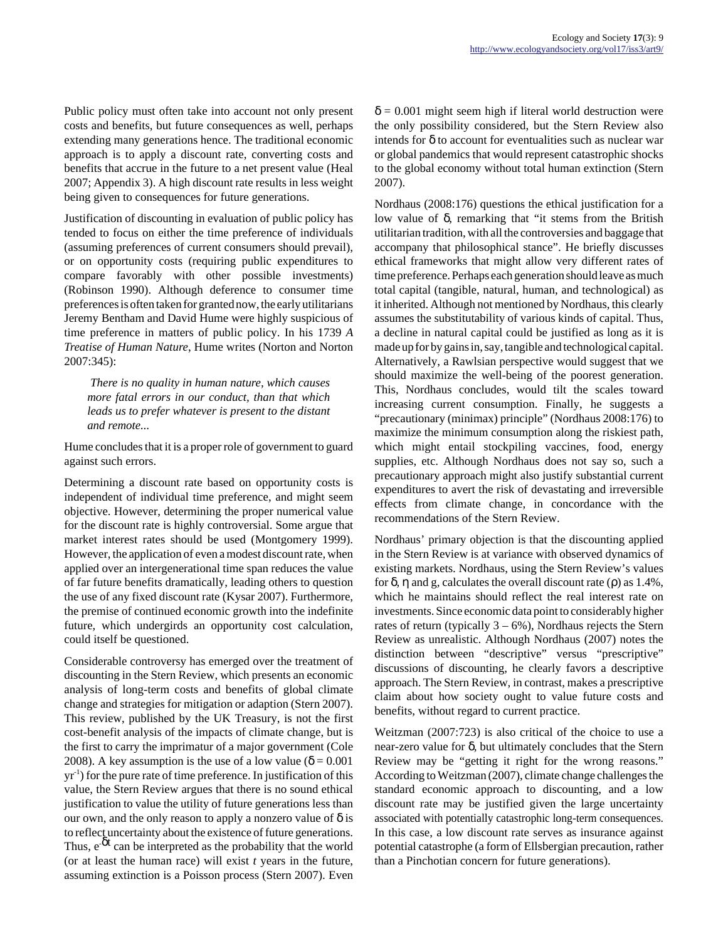Public policy must often take into account not only present costs and benefits, but future consequences as well, perhaps extending many generations hence. The traditional economic approach is to apply a discount rate, converting costs and benefits that accrue in the future to a net present value (Heal 2007; Appendix 3). A high discount rate results in less weight being given to consequences for future generations.

Justification of discounting in evaluation of public policy has tended to focus on either the time preference of individuals (assuming preferences of current consumers should prevail), or on opportunity costs (requiring public expenditures to compare favorably with other possible investments) (Robinson 1990). Although deference to consumer time preferences is often taken for granted now, the early utilitarians Jeremy Bentham and David Hume were highly suspicious of time preference in matters of public policy. In his 1739 *A Treatise of Human Nature*, Hume writes (Norton and Norton 2007:345):

*There is no quality in human nature, which causes more fatal errors in our conduct, than that which leads us to prefer whatever is present to the distant and remote...*

Hume concludes that it is a proper role of government to guard against such errors.

Determining a discount rate based on opportunity costs is independent of individual time preference, and might seem objective. However, determining the proper numerical value for the discount rate is highly controversial. Some argue that market interest rates should be used (Montgomery 1999). However, the application of even a modest discount rate, when applied over an intergenerational time span reduces the value of far future benefits dramatically, leading others to question the use of any fixed discount rate (Kysar 2007). Furthermore, the premise of continued economic growth into the indefinite future, which undergirds an opportunity cost calculation, could itself be questioned.

Considerable controversy has emerged over the treatment of discounting in the Stern Review, which presents an economic analysis of long-term costs and benefits of global climate change and strategies for mitigation or adaption (Stern 2007). This review, published by the UK Treasury, is not the first cost-benefit analysis of the impacts of climate change, but is the first to carry the imprimatur of a major government (Cole 2008). A key assumption is the use of a low value ( $\delta = 0.001$ )  $yr^{-1}$ ) for the pure rate of time preference. In justification of this value, the Stern Review argues that there is no sound ethical justification to value the utility of future generations less than our own, and the only reason to apply a nonzero value of  $\delta$  is to reflect uncertainty about the existence of future generations. Thus,  $e^{-\delta t}$  can be interpreted as the probability that the world (or at least the human race) will exist *t* years in the future, assuming extinction is a Poisson process (Stern 2007). Even  $\delta = 0.001$  might seem high if literal world destruction were the only possibility considered, but the Stern Review also intends for  $\delta$  to account for eventualities such as nuclear war or global pandemics that would represent catastrophic shocks to the global economy without total human extinction (Stern 2007).

Nordhaus (2008:176) questions the ethical justification for a low value of δ, remarking that "it stems from the British utilitarian tradition, with all the controversies and baggage that accompany that philosophical stance". He briefly discusses ethical frameworks that might allow very different rates of time preference. Perhaps each generation should leave as much total capital (tangible, natural, human, and technological) as it inherited. Although not mentioned by Nordhaus, this clearly assumes the substitutability of various kinds of capital. Thus, a decline in natural capital could be justified as long as it is made up for by gains in, say, tangible and technological capital. Alternatively, a Rawlsian perspective would suggest that we should maximize the well-being of the poorest generation. This, Nordhaus concludes, would tilt the scales toward increasing current consumption. Finally, he suggests a "precautionary (minimax) principle" (Nordhaus 2008:176) to maximize the minimum consumption along the riskiest path, which might entail stockpiling vaccines, food, energy supplies, etc. Although Nordhaus does not say so, such a precautionary approach might also justify substantial current expenditures to avert the risk of devastating and irreversible effects from climate change, in concordance with the recommendations of the Stern Review.

Nordhaus' primary objection is that the discounting applied in the Stern Review is at variance with observed dynamics of existing markets. Nordhaus, using the Stern Review's values for δ, η and g, calculates the overall discount rate (ρ) as 1.4%, which he maintains should reflect the real interest rate on investments. Since economic data point to considerably higher rates of return (typically  $3 - 6\%$ ), Nordhaus rejects the Stern Review as unrealistic. Although Nordhaus (2007) notes the distinction between "descriptive" versus "prescriptive" discussions of discounting, he clearly favors a descriptive approach. The Stern Review, in contrast, makes a prescriptive claim about how society ought to value future costs and benefits, without regard to current practice.

Weitzman (2007:723) is also critical of the choice to use a near-zero value for  $\delta$ , but ultimately concludes that the Stern Review may be "getting it right for the wrong reasons." According to Weitzman (2007), climate change challenges the standard economic approach to discounting, and a low discount rate may be justified given the large uncertainty associated with potentially catastrophic long-term consequences. In this case, a low discount rate serves as insurance against potential catastrophe (a form of Ellsbergian precaution, rather than a Pinchotian concern for future generations).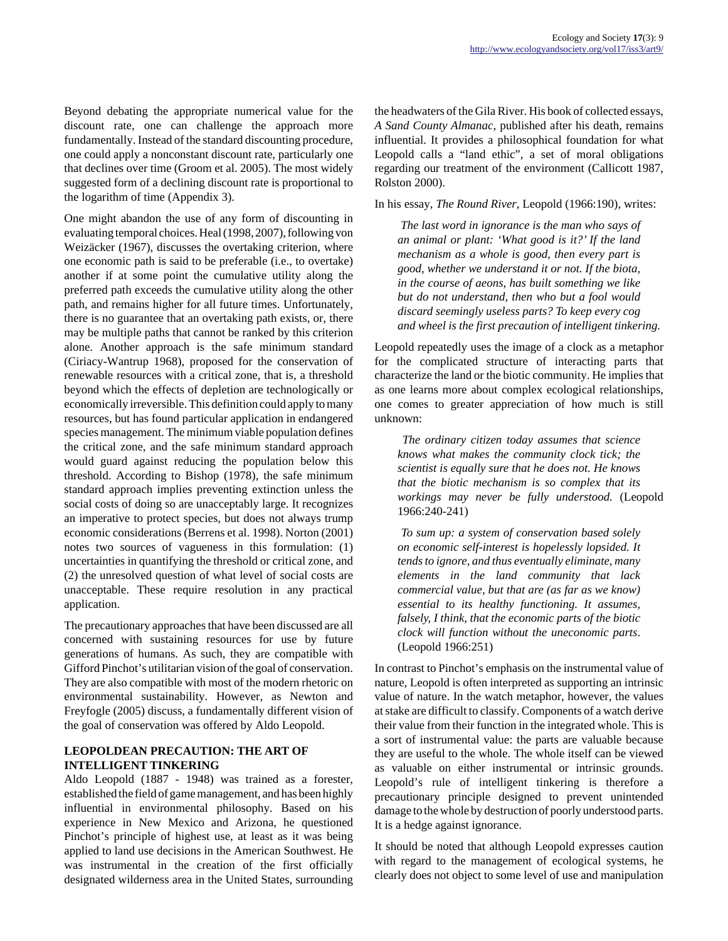Beyond debating the appropriate numerical value for the discount rate, one can challenge the approach more fundamentally. Instead of the standard discounting procedure, one could apply a nonconstant discount rate, particularly one that declines over time (Groom et al. 2005). The most widely suggested form of a declining discount rate is proportional to the logarithm of time (Appendix 3).

One might abandon the use of any form of discounting in evaluating temporal choices. Heal (1998, 2007), following von Weizäcker (1967), discusses the overtaking criterion, where one economic path is said to be preferable (i.e., to overtake) another if at some point the cumulative utility along the preferred path exceeds the cumulative utility along the other path, and remains higher for all future times. Unfortunately, there is no guarantee that an overtaking path exists, or, there may be multiple paths that cannot be ranked by this criterion alone. Another approach is the safe minimum standard (Ciriacy-Wantrup 1968), proposed for the conservation of renewable resources with a critical zone, that is, a threshold beyond which the effects of depletion are technologically or economically irreversible. This definition could apply to many resources, but has found particular application in endangered species management. The minimum viable population defines the critical zone, and the safe minimum standard approach would guard against reducing the population below this threshold. According to Bishop (1978), the safe minimum standard approach implies preventing extinction unless the social costs of doing so are unacceptably large. It recognizes an imperative to protect species, but does not always trump economic considerations (Berrens et al. 1998). Norton (2001) notes two sources of vagueness in this formulation: (1) uncertainties in quantifying the threshold or critical zone, and (2) the unresolved question of what level of social costs are unacceptable. These require resolution in any practical application.

The precautionary approaches that have been discussed are all concerned with sustaining resources for use by future generations of humans. As such, they are compatible with Gifford Pinchot's utilitarian vision of the goal of conservation. They are also compatible with most of the modern rhetoric on environmental sustainability. However, as Newton and Freyfogle (2005) discuss, a fundamentally different vision of the goal of conservation was offered by Aldo Leopold.

#### **LEOPOLDEAN PRECAUTION: THE ART OF INTELLIGENT TINKERING**

Aldo Leopold (1887 - 1948) was trained as a forester, established the field of game management, and has been highly influential in environmental philosophy. Based on his experience in New Mexico and Arizona, he questioned Pinchot's principle of highest use, at least as it was being applied to land use decisions in the American Southwest. He was instrumental in the creation of the first officially designated wilderness area in the United States, surrounding

the headwaters of the Gila River. His book of collected essays, *A Sand County Almanac*, published after his death, remains influential. It provides a philosophical foundation for what Leopold calls a "land ethic", a set of moral obligations regarding our treatment of the environment (Callicott 1987, Rolston 2000).

In his essay, *The Round River*, Leopold (1966:190), writes:

*The last word in ignorance is the man who says of an animal or plant: 'What good is it?' If the land mechanism as a whole is good, then every part is good, whether we understand it or not. If the biota, in the course of aeons, has built something we like but do not understand, then who but a fool would discard seemingly useless parts? To keep every cog and wheel is the first precaution of intelligent tinkering.*

Leopold repeatedly uses the image of a clock as a metaphor for the complicated structure of interacting parts that characterize the land or the biotic community. He implies that as one learns more about complex ecological relationships, one comes to greater appreciation of how much is still unknown:

*The ordinary citizen today assumes that science knows what makes the community clock tick; the scientist is equally sure that he does not. He knows that the biotic mechanism is so complex that its workings may never be fully understood.* (Leopold 1966:240-241)

*To sum up: a system of conservation based solely on economic self-interest is hopelessly lopsided. It tends to ignore, and thus eventually eliminate, many elements in the land community that lack commercial value, but that are (as far as we know) essential to its healthy functioning. It assumes, falsely, I think, that the economic parts of the biotic clock will function without the uneconomic parts*. (Leopold 1966:251)

In contrast to Pinchot's emphasis on the instrumental value of nature, Leopold is often interpreted as supporting an intrinsic value of nature. In the watch metaphor, however, the values at stake are difficult to classify. Components of a watch derive their value from their function in the integrated whole. This is a sort of instrumental value: the parts are valuable because they are useful to the whole. The whole itself can be viewed as valuable on either instrumental or intrinsic grounds. Leopold's rule of intelligent tinkering is therefore a precautionary principle designed to prevent unintended damage to the whole by destruction of poorly understood parts. It is a hedge against ignorance.

It should be noted that although Leopold expresses caution with regard to the management of ecological systems, he clearly does not object to some level of use and manipulation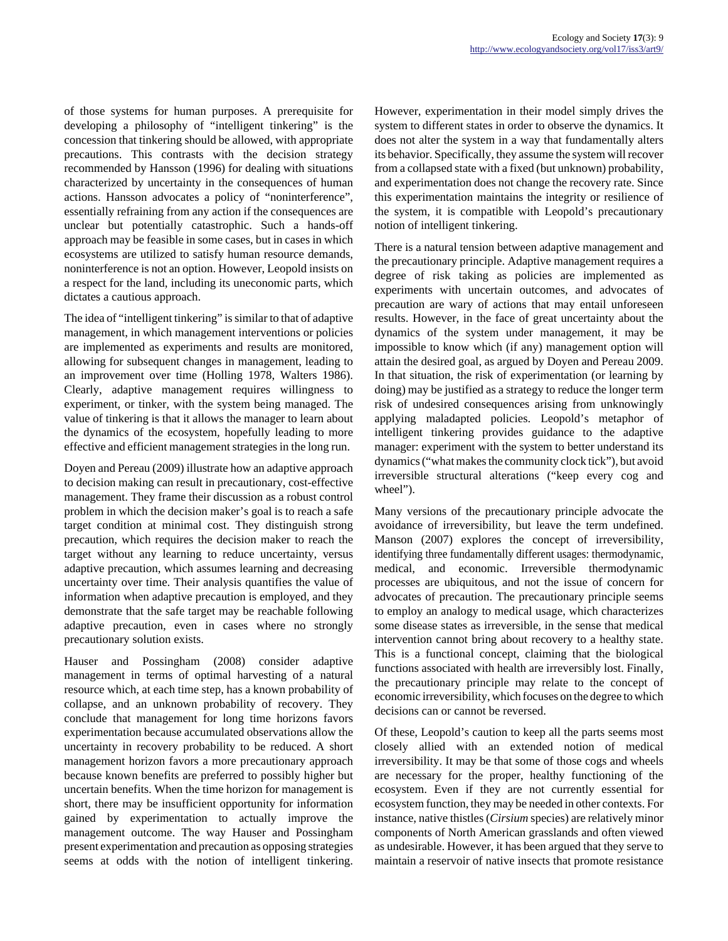of those systems for human purposes. A prerequisite for developing a philosophy of "intelligent tinkering" is the concession that tinkering should be allowed, with appropriate precautions. This contrasts with the decision strategy recommended by Hansson (1996) for dealing with situations characterized by uncertainty in the consequences of human actions. Hansson advocates a policy of "noninterference", essentially refraining from any action if the consequences are unclear but potentially catastrophic. Such a hands-off approach may be feasible in some cases, but in cases in which ecosystems are utilized to satisfy human resource demands, noninterference is not an option. However, Leopold insists on a respect for the land, including its uneconomic parts, which dictates a cautious approach.

The idea of "intelligent tinkering" is similar to that of adaptive management, in which management interventions or policies are implemented as experiments and results are monitored, allowing for subsequent changes in management, leading to an improvement over time (Holling 1978, Walters 1986). Clearly, adaptive management requires willingness to experiment, or tinker, with the system being managed. The value of tinkering is that it allows the manager to learn about the dynamics of the ecosystem, hopefully leading to more effective and efficient management strategies in the long run.

Doyen and Pereau (2009) illustrate how an adaptive approach to decision making can result in precautionary, cost-effective management. They frame their discussion as a robust control problem in which the decision maker's goal is to reach a safe target condition at minimal cost. They distinguish strong precaution, which requires the decision maker to reach the target without any learning to reduce uncertainty, versus adaptive precaution, which assumes learning and decreasing uncertainty over time. Their analysis quantifies the value of information when adaptive precaution is employed, and they demonstrate that the safe target may be reachable following adaptive precaution, even in cases where no strongly precautionary solution exists.

Hauser and Possingham (2008) consider adaptive management in terms of optimal harvesting of a natural resource which, at each time step, has a known probability of collapse, and an unknown probability of recovery. They conclude that management for long time horizons favors experimentation because accumulated observations allow the uncertainty in recovery probability to be reduced. A short management horizon favors a more precautionary approach because known benefits are preferred to possibly higher but uncertain benefits. When the time horizon for management is short, there may be insufficient opportunity for information gained by experimentation to actually improve the management outcome. The way Hauser and Possingham present experimentation and precaution as opposing strategies seems at odds with the notion of intelligent tinkering.

However, experimentation in their model simply drives the system to different states in order to observe the dynamics. It does not alter the system in a way that fundamentally alters its behavior. Specifically, they assume the system will recover from a collapsed state with a fixed (but unknown) probability, and experimentation does not change the recovery rate. Since this experimentation maintains the integrity or resilience of the system, it is compatible with Leopold's precautionary notion of intelligent tinkering.

There is a natural tension between adaptive management and the precautionary principle. Adaptive management requires a degree of risk taking as policies are implemented as experiments with uncertain outcomes, and advocates of precaution are wary of actions that may entail unforeseen results. However, in the face of great uncertainty about the dynamics of the system under management, it may be impossible to know which (if any) management option will attain the desired goal, as argued by Doyen and Pereau 2009. In that situation, the risk of experimentation (or learning by doing) may be justified as a strategy to reduce the longer term risk of undesired consequences arising from unknowingly applying maladapted policies. Leopold's metaphor of intelligent tinkering provides guidance to the adaptive manager: experiment with the system to better understand its dynamics ("what makes the community clock tick"), but avoid irreversible structural alterations ("keep every cog and wheel").

Many versions of the precautionary principle advocate the avoidance of irreversibility, but leave the term undefined. Manson (2007) explores the concept of irreversibility, identifying three fundamentally different usages: thermodynamic, medical, and economic. Irreversible thermodynamic processes are ubiquitous, and not the issue of concern for advocates of precaution. The precautionary principle seems to employ an analogy to medical usage, which characterizes some disease states as irreversible, in the sense that medical intervention cannot bring about recovery to a healthy state. This is a functional concept, claiming that the biological functions associated with health are irreversibly lost. Finally, the precautionary principle may relate to the concept of economic irreversibility, which focuses on the degree to which decisions can or cannot be reversed.

Of these, Leopold's caution to keep all the parts seems most closely allied with an extended notion of medical irreversibility. It may be that some of those cogs and wheels are necessary for the proper, healthy functioning of the ecosystem. Even if they are not currently essential for ecosystem function, they may be needed in other contexts. For instance, native thistles (*Cirsium* species) are relatively minor components of North American grasslands and often viewed as undesirable. However, it has been argued that they serve to maintain a reservoir of native insects that promote resistance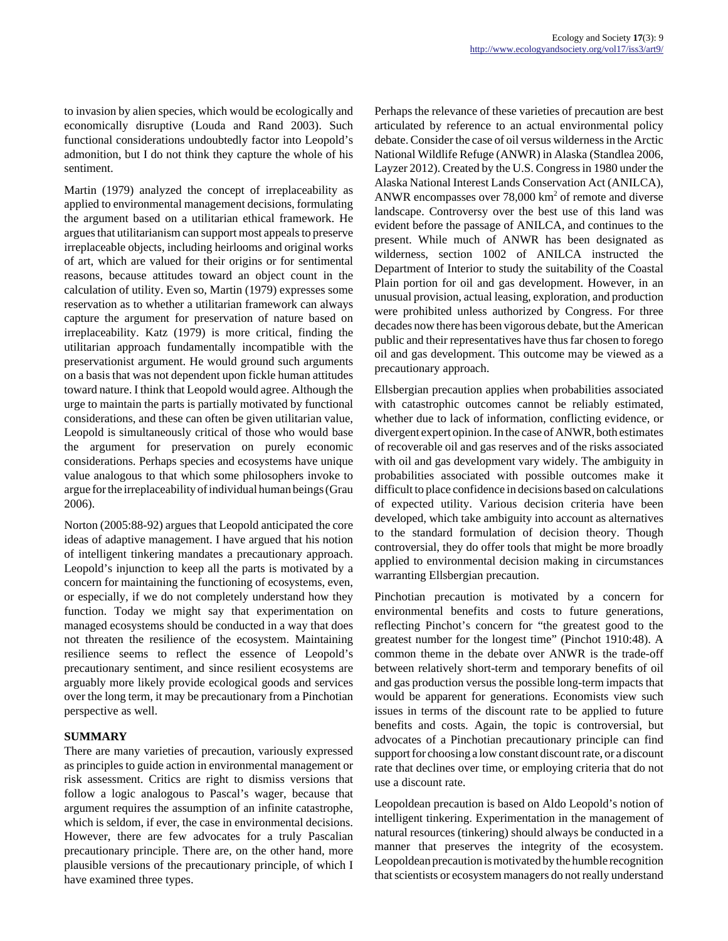to invasion by alien species, which would be ecologically and economically disruptive (Louda and Rand 2003). Such functional considerations undoubtedly factor into Leopold's admonition, but I do not think they capture the whole of his sentiment.

Martin (1979) analyzed the concept of irreplaceability as applied to environmental management decisions, formulating the argument based on a utilitarian ethical framework. He argues that utilitarianism can support most appeals to preserve irreplaceable objects, including heirlooms and original works of art, which are valued for their origins or for sentimental reasons, because attitudes toward an object count in the calculation of utility. Even so, Martin (1979) expresses some reservation as to whether a utilitarian framework can always capture the argument for preservation of nature based on irreplaceability. Katz (1979) is more critical, finding the utilitarian approach fundamentally incompatible with the preservationist argument. He would ground such arguments on a basis that was not dependent upon fickle human attitudes toward nature. I think that Leopold would agree. Although the urge to maintain the parts is partially motivated by functional considerations, and these can often be given utilitarian value, Leopold is simultaneously critical of those who would base the argument for preservation on purely economic considerations. Perhaps species and ecosystems have unique value analogous to that which some philosophers invoke to argue for the irreplaceability of individual human beings (Grau 2006).

Norton (2005:88-92) argues that Leopold anticipated the core ideas of adaptive management. I have argued that his notion of intelligent tinkering mandates a precautionary approach. Leopold's injunction to keep all the parts is motivated by a concern for maintaining the functioning of ecosystems, even, or especially, if we do not completely understand how they function. Today we might say that experimentation on managed ecosystems should be conducted in a way that does not threaten the resilience of the ecosystem. Maintaining resilience seems to reflect the essence of Leopold's precautionary sentiment, and since resilient ecosystems are arguably more likely provide ecological goods and services over the long term, it may be precautionary from a Pinchotian perspective as well.

## **SUMMARY**

There are many varieties of precaution, variously expressed as principles to guide action in environmental management or risk assessment. Critics are right to dismiss versions that follow a logic analogous to Pascal's wager, because that argument requires the assumption of an infinite catastrophe, which is seldom, if ever, the case in environmental decisions. However, there are few advocates for a truly Pascalian precautionary principle. There are, on the other hand, more plausible versions of the precautionary principle, of which I have examined three types.

Perhaps the relevance of these varieties of precaution are best articulated by reference to an actual environmental policy debate. Consider the case of oil versus wilderness in the Arctic National Wildlife Refuge (ANWR) in Alaska (Standlea 2006, Layzer 2012). Created by the U.S. Congress in 1980 under the Alaska National Interest Lands Conservation Act (ANILCA), ANWR encompasses over  $78,000 \text{ km}^2$  of remote and diverse landscape. Controversy over the best use of this land was evident before the passage of ANILCA, and continues to the present. While much of ANWR has been designated as wilderness, section 1002 of ANILCA instructed the Department of Interior to study the suitability of the Coastal Plain portion for oil and gas development. However, in an unusual provision, actual leasing, exploration, and production were prohibited unless authorized by Congress. For three decades now there has been vigorous debate, but the American public and their representatives have thus far chosen to forego oil and gas development. This outcome may be viewed as a precautionary approach.

Ellsbergian precaution applies when probabilities associated with catastrophic outcomes cannot be reliably estimated. whether due to lack of information, conflicting evidence, or divergent expert opinion. In the case of ANWR, both estimates of recoverable oil and gas reserves and of the risks associated with oil and gas development vary widely. The ambiguity in probabilities associated with possible outcomes make it difficult to place confidence in decisions based on calculations of expected utility. Various decision criteria have been developed, which take ambiguity into account as alternatives to the standard formulation of decision theory. Though controversial, they do offer tools that might be more broadly applied to environmental decision making in circumstances warranting Ellsbergian precaution.

Pinchotian precaution is motivated by a concern for environmental benefits and costs to future generations, reflecting Pinchot's concern for "the greatest good to the greatest number for the longest time" (Pinchot 1910:48). A common theme in the debate over ANWR is the trade-off between relatively short-term and temporary benefits of oil and gas production versus the possible long-term impacts that would be apparent for generations. Economists view such issues in terms of the discount rate to be applied to future benefits and costs. Again, the topic is controversial, but advocates of a Pinchotian precautionary principle can find support for choosing a low constant discount rate, or a discount rate that declines over time, or employing criteria that do not use a discount rate.

Leopoldean precaution is based on Aldo Leopold's notion of intelligent tinkering. Experimentation in the management of natural resources (tinkering) should always be conducted in a manner that preserves the integrity of the ecosystem. Leopoldean precaution is motivated by the humble recognition that scientists or ecosystem managers do not really understand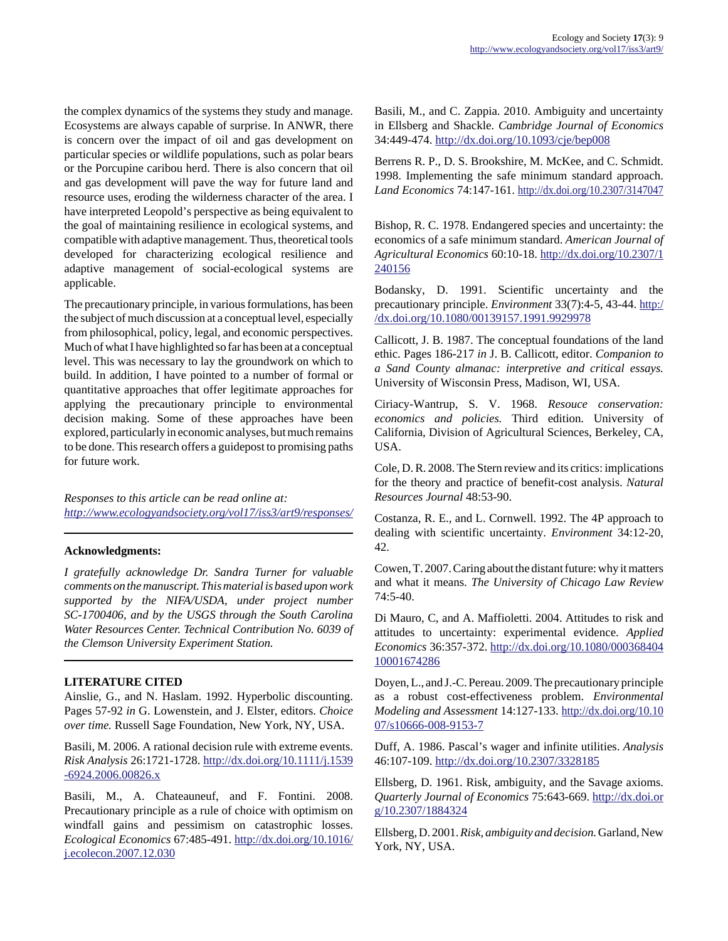the complex dynamics of the systems they study and manage. Ecosystems are always capable of surprise. In ANWR, there is concern over the impact of oil and gas development on particular species or wildlife populations, such as polar bears or the Porcupine caribou herd. There is also concern that oil and gas development will pave the way for future land and resource uses, eroding the wilderness character of the area. I have interpreted Leopold's perspective as being equivalent to the goal of maintaining resilience in ecological systems, and compatible with adaptive management. Thus, theoretical tools developed for characterizing ecological resilience and adaptive management of social-ecological systems are applicable.

The precautionary principle, in various formulations, has been the subject of much discussion at a conceptual level, especially from philosophical, policy, legal, and economic perspectives. Much of what I have highlighted so far has been at a conceptual level. This was necessary to lay the groundwork on which to build. In addition, I have pointed to a number of formal or quantitative approaches that offer legitimate approaches for applying the precautionary principle to environmental decision making. Some of these approaches have been explored, particularly in economic analyses, but much remains to be done. This research offers a guidepost to promising paths for future work.

*Responses to this article can be read online at: <http://www.ecologyandsociety.org/vol17/iss3/art9/responses/>*

#### **Acknowledgments:**

*I gratefully acknowledge Dr. Sandra Turner for valuable comments on the manuscript. This material is based upon work supported by the NIFA/USDA, under project number SC-1700406, and by the USGS through the South Carolina Water Resources Center. Technical Contribution No. 6039 of the Clemson University Experiment Station.*

## **LITERATURE CITED**

Ainslie, G., and N. Haslam. 1992. Hyperbolic discounting. Pages 57-92 *in* G. Lowenstein, and J. Elster, editors. *Choice over time.* Russell Sage Foundation, New York, NY, USA.

Basili, M. 2006. A rational decision rule with extreme events. *Risk Analysis* 26:1721-1728. [http://dx.doi.org/10.1111/j.1539](http://dx.doi.org/10.1111/j.1539-6924.2006.00826.x) [-6924.2006.00826.x](http://dx.doi.org/10.1111/j.1539-6924.2006.00826.x)

Basili, M., A. Chateauneuf, and F. Fontini. 2008. Precautionary principle as a rule of choice with optimism on windfall gains and pessimism on catastrophic losses. *Ecological Economics* 67:485-491. [http://dx.doi.org/10.1016/](http://dx.doi.org/10.1016/j.ecolecon.2007.12.030) [j.ecolecon.2007.12.030](http://dx.doi.org/10.1016/j.ecolecon.2007.12.030)

Basili, M., and C. Zappia. 2010. Ambiguity and uncertainty in Ellsberg and Shackle. *Cambridge Journal of Economics* 34:449-474.<http://dx.doi.org/10.1093/cje/bep008>

Berrens R. P., D. S. Brookshire, M. McKee, and C. Schmidt. 1998. Implementing the safe minimum standard approach. *Land Economics* 74:147-161. <http://dx.doi.org/10.2307/3147047>

Bishop, R. C. 1978. Endangered species and uncertainty: the economics of a safe minimum standard. *American Journal of Agricultural Economics* 60:10-18. [http://dx.doi.org/10.2307/1](http://dx.doi.org/10.2307/1240156) [240156](http://dx.doi.org/10.2307/1240156)

Bodansky, D. 1991. Scientific uncertainty and the precautionary principle. *Environment* 33(7):4-5, 43-44. [http:/](http://dx.doi.org/10.1080/00139157.1991.9929978) [/dx.doi.org/10.1080/00139157.1991.9929978](http://dx.doi.org/10.1080/00139157.1991.9929978)

Callicott, J. B. 1987. The conceptual foundations of the land ethic. Pages 186-217 *in* J. B. Callicott, editor. *Companion to a Sand County almanac: interpretive and critical essays.* University of Wisconsin Press, Madison, WI, USA.

Ciriacy-Wantrup, S. V. 1968. *Resouce conservation: economics and policies.* Third edition. University of California, Division of Agricultural Sciences, Berkeley, CA, USA.

Cole, D. R. 2008. The Stern review and its critics: implications for the theory and practice of benefit-cost analysis. *Natural Resources Journal* 48:53-90.

Costanza, R. E., and L. Cornwell. 1992. The 4P approach to dealing with scientific uncertainty. *Environment* 34:12-20, 42.

Cowen, T. 2007. Caring about the distant future: why it matters and what it means. *The University of Chicago Law Review* 74:5-40.

Di Mauro, C, and A. Maffioletti. 2004. Attitudes to risk and attitudes to uncertainty: experimental evidence. *Applied Economics* 36:357-372. [http://dx.doi.org/10.1080/000368404](http://dx.doi.org/10.1080/00036840410001674286) [10001674286](http://dx.doi.org/10.1080/00036840410001674286)

Doyen, L., and J.-C. Pereau. 2009. The precautionary principle as a robust cost-effectiveness problem. *Environmental Modeling and Assessment* 14:127-133. [http://dx.doi.org/10.10](http://dx.doi.org/10.1007/s10666-008-9153-7) [07/s10666-008-9153-7](http://dx.doi.org/10.1007/s10666-008-9153-7)

Duff, A. 1986. Pascal's wager and infinite utilities. *Analysis* 46:107-109.<http://dx.doi.org/10.2307/3328185>

Ellsberg, D. 1961. Risk, ambiguity, and the Savage axioms. *Quarterly Journal of Economics* 75:643-669. [http://dx.doi.or](http://dx.doi.org/10.2307/1884324) [g/10.2307/1884324](http://dx.doi.org/10.2307/1884324)

Ellsberg, D. 2001. *Risk, ambiguity and decision.* Garland, New York, NY, USA.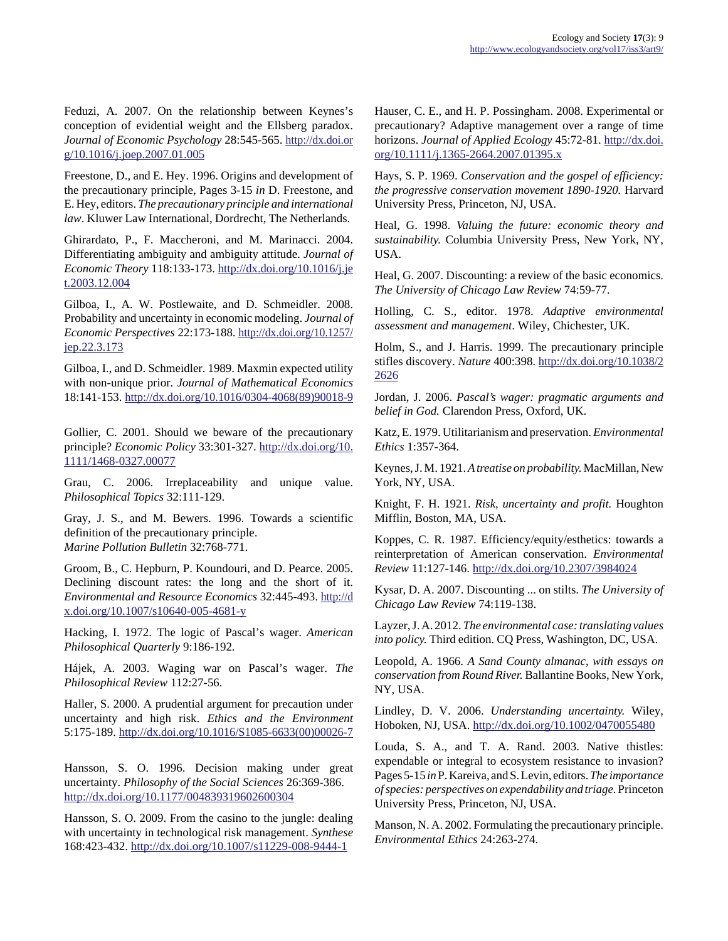Feduzi, A. 2007. On the relationship between Keynes's conception of evidential weight and the Ellsberg paradox. *Journal of Economic Psychology* 28:545-565. [http://dx.doi.or](http://dx.doi.org/10.1016/j.joep.2007.01.005) [g/10.1016/j.joep.2007.01.005](http://dx.doi.org/10.1016/j.joep.2007.01.005)

Freestone, D., and E. Hey. 1996. Origins and development of the precautionary principle, Pages 3-15 *in* D. Freestone, and E. Hey, editors. *The precautionary principle and international law*. Kluwer Law International, Dordrecht, The Netherlands.

Ghirardato, P., F. Maccheroni, and M. Marinacci. 2004. Differentiating ambiguity and ambiguity attitude. *Journal of Economic Theory* 118:133-173. [http://dx.doi.org/10.1016/j.je](http://dx.doi.org/10.1016/j.jet.2003.12.004) [t.2003.12.004](http://dx.doi.org/10.1016/j.jet.2003.12.004)

Gilboa, I., A. W. Postlewaite, and D. Schmeidler. 2008. Probability and uncertainty in economic modeling. *Journal of Economic Perspectives* 22:173-188. [http://dx.doi.org/10.1257/](http://dx.doi.org/10.1257/jep.22.3.173) [jep.22.3.173](http://dx.doi.org/10.1257/jep.22.3.173)

Gilboa, I., and D. Schmeidler. 1989. Maxmin expected utility with non-unique prior. *Journal of Mathematical Economics* 18:141-153. [http://dx.doi.org/10.1016/0304-4068\(89\)90018-9](http://dx.doi.org/10.1016/0304-4068(89)90018-9)

Gollier, C. 2001. Should we beware of the precautionary principle? *Economic Policy* 33:301-327. [http://dx.doi.org/10.](http://dx.doi.org/10.1111/1468-0327.00077) [1111/1468-0327.00077](http://dx.doi.org/10.1111/1468-0327.00077) 

Grau, C. 2006. Irreplaceability and unique value. *Philosophical Topics* 32:111-129.

Gray, J. S., and M. Bewers. 1996. Towards a scientific definition of the precautionary principle. *Marine Pollution Bulletin* 32:768-771.

Groom, B., C. Hepburn, P. Koundouri, and D. Pearce. 2005. Declining discount rates: the long and the short of it. *Environmental and Resource Economics* 32:445-493. [http://d](http://dx.doi.org/10.1007/s10640-005-4681-y) [x.doi.org/10.1007/s10640-005-4681-y](http://dx.doi.org/10.1007/s10640-005-4681-y)

Hacking, I. 1972. The logic of Pascal's wager. *American Philosophical Quarterly* 9:186-192.

Hájek, A. 2003. Waging war on Pascal's wager. *The Philosophical Review* 112:27-56.

Haller, S. 2000. A prudential argument for precaution under uncertainty and high risk. *Ethics and the Environment* 5:175-189. [http://dx.doi.org/10.1016/S1085-6633\(00\)00026-7](http://dx.doi.org/10.1016/S1085-6633(00)00026-7)

Hansson, S. O. 1996. Decision making under great uncertainty. *Philosophy of the Social Sciences* 26:369-386. <http://dx.doi.org/10.1177/004839319602600304>

Hansson, S. O. 2009. From the casino to the jungle: dealing with uncertainty in technological risk management. *Synthese* 168:423-432.<http://dx.doi.org/10.1007/s11229-008-9444-1>

Hauser, C. E., and H. P. Possingham. 2008. Experimental or precautionary? Adaptive management over a range of time horizons. *Journal of Applied Ecology* 45:72-81. [http://dx.doi.](http://dx.doi.org/10.1111/j.1365-2664.2007.01395.x) [org/10.1111/j.1365-2664.2007.01395.x](http://dx.doi.org/10.1111/j.1365-2664.2007.01395.x)

Hays, S. P. 1969. *Conservation and the gospel of efficiency: the progressive conservation movement 1890-1920.* Harvard University Press, Princeton, NJ, USA.

Heal, G. 1998. *Valuing the future: economic theory and sustainability.* Columbia University Press, New York, NY, USA.

Heal, G. 2007. Discounting: a review of the basic economics. *The University of Chicago Law Review* 74:59-77.

Holling, C. S., editor. 1978. *Adaptive environmental assessment and management*. Wiley, Chichester, UK.

Holm, S., and J. Harris. 1999. The precautionary principle stifles discovery. *Nature* 400:398. [http://dx.doi.org/10.1038/2](http://dx.doi.org/10.1038/22626) [2626](http://dx.doi.org/10.1038/22626)

Jordan, J. 2006. *Pascal's wager: pragmatic arguments and belief in God.* Clarendon Press, Oxford, UK.

Katz, E. 1979. Utilitarianism and preservation. *Environmental Ethics* 1:357-364.

Keynes, J. M. 1921. *A treatise on probability.* MacMillan, New York, NY, USA.

Knight, F. H. 1921. *Risk, uncertainty and profit.* Houghton Mifflin, Boston, MA, USA.

Koppes, C. R. 1987. Efficiency/equity/esthetics: towards a reinterpretation of American conservation. *Environmental Review* 11:127-146.<http://dx.doi.org/10.2307/3984024>

Kysar, D. A. 2007. Discounting ... on stilts. *The University of Chicago Law Review* 74:119-138.

Layzer, J. A. 2012. *The environmental case: translating values into policy.* Third edition. CQ Press, Washington, DC, USA.

Leopold, A. 1966. *A Sand County almanac, with essays on conservation from Round River.* Ballantine Books, New York, NY, USA.

Lindley, D. V. 2006. *Understanding uncertainty.* Wiley, Hoboken, NJ, USA. <http://dx.doi.org/10.1002/0470055480>

Louda, S. A., and T. A. Rand. 2003. Native thistles: expendable or integral to ecosystem resistance to invasion? Pages 5-15 *in* P. Kareiva, and S. Levin, editors. *The importance of species: perspectives on expendability and triage.* Princeton University Press, Princeton, NJ, USA.

Manson, N. A. 2002. Formulating the precautionary principle. *Environmental Ethics* 24:263-274.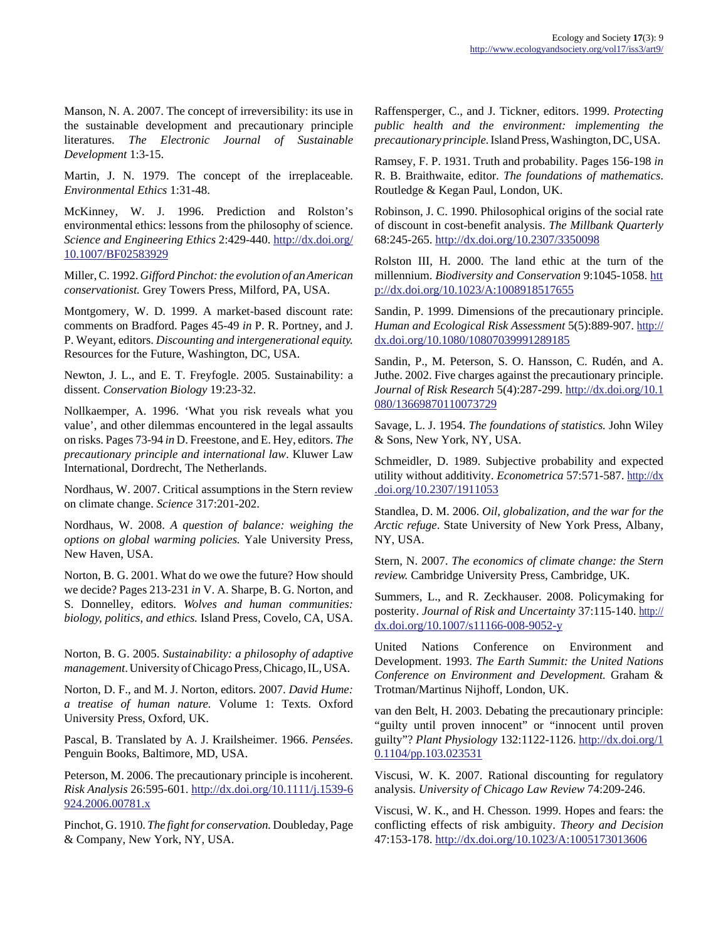Manson, N. A. 2007. The concept of irreversibility: its use in the sustainable development and precautionary principle literatures. *The Electronic Journal of Sustainable Development* 1:3-15.

Martin, J. N. 1979. The concept of the irreplaceable. *Environmental Ethics* 1:31-48.

McKinney, W. J. 1996. Prediction and Rolston's environmental ethics: lessons from the philosophy of science. *Science and Engineering Ethics* 2:429-440. [http://dx.doi.org/](http://dx.doi.org/10.1007/BF02583929) [10.1007/BF02583929](http://dx.doi.org/10.1007/BF02583929)

Miller, C. 1992. *Gifford Pinchot: the evolution of an American conservationist.* Grey Towers Press, Milford, PA, USA.

Montgomery, W. D. 1999. A market-based discount rate: comments on Bradford. Pages 45-49 *in* P. R. Portney, and J. P. Weyant, editors. *Discounting and intergenerational equity.* Resources for the Future, Washington, DC, USA.

Newton, J. L., and E. T. Freyfogle. 2005. Sustainability: a dissent. *Conservation Biology* 19:23-32.

Nollkaemper, A. 1996. 'What you risk reveals what you value', and other dilemmas encountered in the legal assaults on risks. Pages 73-94 *in* D. Freestone, and E. Hey, editors. *The precautionary principle and international law*. Kluwer Law International, Dordrecht, The Netherlands.

Nordhaus, W. 2007. Critical assumptions in the Stern review on climate change. *Science* 317:201-202.

Nordhaus, W. 2008. *A question of balance: weighing the options on global warming policies.* Yale University Press, New Haven, USA.

Norton, B. G. 2001. What do we owe the future? How should we decide? Pages 213-231 *in* V. A. Sharpe, B. G. Norton, and S. Donnelley, editors. *Wolves and human communities: biology, politics, and ethics.* Island Press, Covelo, CA, USA.

Norton, B. G. 2005. *Sustainability: a philosophy of adaptive management*. University of Chicago Press, Chicago, IL, USA.

Norton, D. F., and M. J. Norton, editors. 2007. *David Hume: a treatise of human nature.* Volume 1: Texts. Oxford University Press, Oxford, UK.

Pascal, B. Translated by A. J. Krailsheimer. 1966. *Pensées*. Penguin Books, Baltimore, MD, USA.

Peterson, M. 2006. The precautionary principle is incoherent. *Risk Analysis* 26:595-601. [http://dx.doi.org/10.1111/j.1539-6](http://dx.doi.org/10.1111/j.1539-6924.2006.00781.x) [924.2006.00781.x](http://dx.doi.org/10.1111/j.1539-6924.2006.00781.x)

Pinchot, G. 1910. *The fight for conservation.* Doubleday, Page & Company, New York, NY, USA.

Raffensperger, C., and J. Tickner, editors. 1999. *Protecting public health and the environment: implementing the precautionary principle.* Island Press, Washington, DC, USA.

Ramsey, F. P. 1931. Truth and probability. Pages 156-198 *in* R. B. Braithwaite, editor. *The foundations of mathematics*. Routledge & Kegan Paul, London, UK.

Robinson, J. C. 1990. Philosophical origins of the social rate of discount in cost-benefit analysis. *The Millbank Quarterly* 68:245-265.<http://dx.doi.org/10.2307/3350098>

Rolston III, H. 2000. The land ethic at the turn of the millennium. *Biodiversity and Conservation* 9:1045-1058. [htt](http://dx.doi.org/10.1023/A:1008918517655) [p://dx.doi.org/10.1023/A:1008918517655](http://dx.doi.org/10.1023/A:1008918517655)

Sandin, P. 1999. Dimensions of the precautionary principle. *Human and Ecological Risk Assessment* 5(5):889-907. [http://](http://dx.doi.org/10.1080/10807039991289185) [dx.doi.org/10.1080/10807039991289185](http://dx.doi.org/10.1080/10807039991289185)

Sandin, P., M. Peterson, S. O. Hansson, C. Rudén, and A. Juthe. 2002. Five charges against the precautionary principle. *Journal of Risk Research* 5(4):287-299. [http://dx.doi.org/10.1](http://dx.doi.org/10.1080/13669870110073729) [080/13669870110073729](http://dx.doi.org/10.1080/13669870110073729)

Savage, L. J. 1954. *The foundations of statistics.* John Wiley & Sons, New York, NY, USA.

Schmeidler, D. 1989. Subjective probability and expected utility without additivity. *Econometrica* 57:571-587. [http://dx](http://dx.doi.org/10.2307/1911053) [.doi.org/10.2307/1911053](http://dx.doi.org/10.2307/1911053)

Standlea, D. M. 2006. *Oil, globalization, and the war for the Arctic refuge*. State University of New York Press, Albany, NY, USA.

Stern, N. 2007. *The economics of climate change: the Stern review.* Cambridge University Press, Cambridge, UK.

Summers, L., and R. Zeckhauser. 2008. Policymaking for posterity. *Journal of Risk and Uncertainty* 37:115-140. [http://](http://dx.doi.org/10.1007/s11166-008-9052-y) [dx.doi.org/10.1007/s11166-008-9052-y](http://dx.doi.org/10.1007/s11166-008-9052-y)

United Nations Conference on Environment and Development. 1993. *The Earth Summit: the United Nations Conference on Environment and Development.* Graham & Trotman/Martinus Nijhoff, London, UK.

van den Belt, H. 2003. Debating the precautionary principle: "guilty until proven innocent" or "innocent until proven guilty"? *Plant Physiology* 132:1122-1126. [http://dx.doi.org/1](http://dx.doi.org/10.1104/pp.103.023531) [0.1104/pp.103.023531](http://dx.doi.org/10.1104/pp.103.023531)

Viscusi, W. K. 2007. Rational discounting for regulatory analysis. *University of Chicago Law Review* 74:209-246.

Viscusi, W. K., and H. Chesson. 1999. Hopes and fears: the conflicting effects of risk ambiguity. *Theory and Decision* 47:153-178.<http://dx.doi.org/10.1023/A:1005173013606>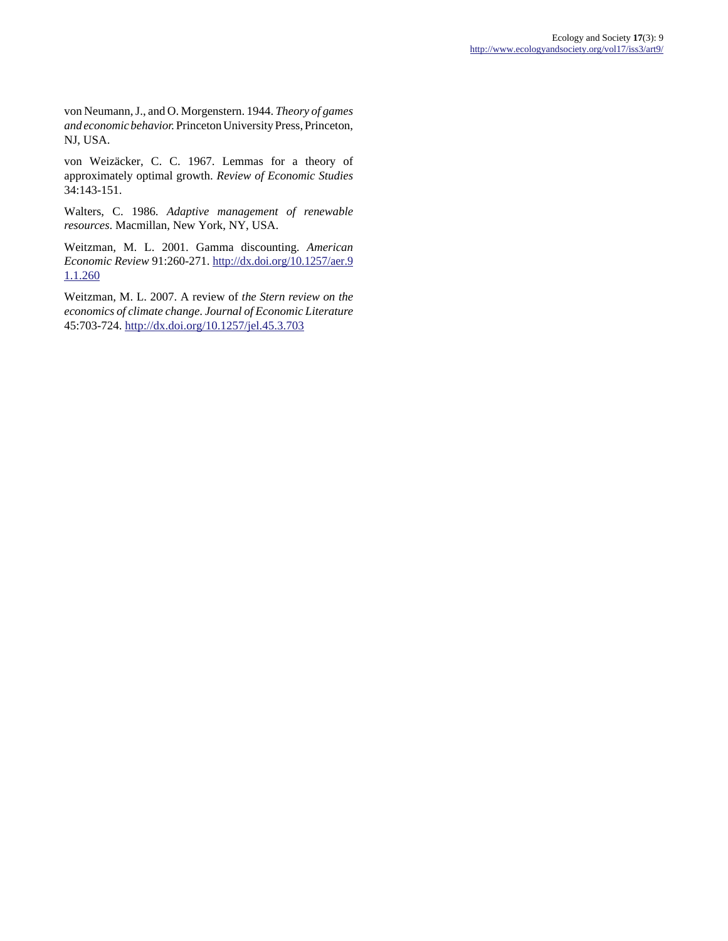von Neumann, J., and O. Morgenstern. 1944. *Theory of games and economic behavior.* Princeton University Press, Princeton, NJ, USA.

von Weizäcker, C. C. 1967. Lemmas for a theory of approximately optimal growth. *Review of Economic Studies*  $34:143-151.$ 

Walters, C. 1986. *Adaptive management of renewable resources*. Macmillan, New York, NY, USA.

Weitzman, M. L. 2001. Gamma discounting. *American Economic Review* 91:260-271. [http://dx.doi.org/10.1257/aer.9](http://dx.doi.org/10.1257/aer.91.1.260) [1.1.260](http://dx.doi.org/10.1257/aer.91.1.260)

Weitzman, M. L. 2007. A review of *the Stern review on the economics of climate change*. *Journal of Economic Literature* 45:703-724.<http://dx.doi.org/10.1257/jel.45.3.703>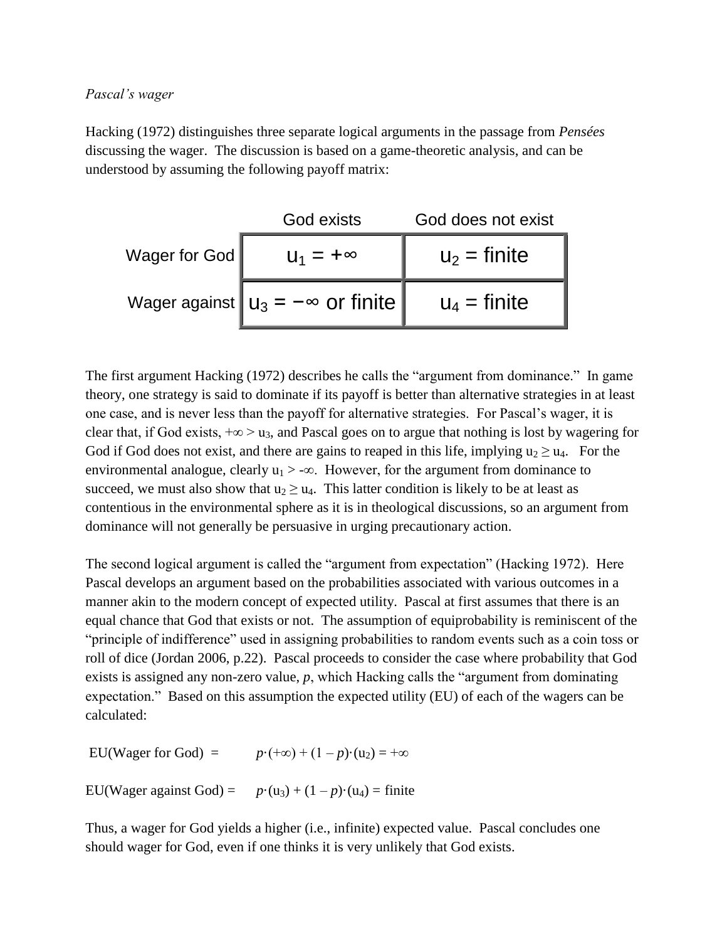# *Pascal's wager*

Hacking (1972) distinguishes three separate logical arguments in the passage from *Pensées* discussing the wager. The discussion is based on a game-theoretic analysis, and can be understood by assuming the following payoff matrix:

|               | God exists                                     | God does not exist |
|---------------|------------------------------------------------|--------------------|
| Wager for God | $U_1 = +\infty$                                | $u_2$ = finite     |
|               | Wager against $\ u_3 = -\infty$ or finite $\ $ | $u_4$ = finite     |

The first argument Hacking (1972) describes he calls the "argument from dominance." In game theory, one strategy is said to dominate if its payoff is better than alternative strategies in at least one case, and is never less than the payoff for alternative strategies. For Pascal's wager, it is clear that, if God exists,  $+\infty > u_3$ , and Pascal goes on to argue that nothing is lost by wagering for God if God does not exist, and there are gains to reaped in this life, implying  $u_2 \ge u_4$ . For the environmental analogue, clearly  $u_1$  > - $\infty$ . However, for the argument from dominance to succeed, we must also show that  $u_2 \geq u_4$ . This latter condition is likely to be at least as contentious in the environmental sphere as it is in theological discussions, so an argument from dominance will not generally be persuasive in urging precautionary action.

The second logical argument is called the "argument from expectation" (Hacking 1972). Here Pascal develops an argument based on the probabilities associated with various outcomes in a manner akin to the modern concept of expected utility. Pascal at first assumes that there is an equal chance that God that exists or not. The assumption of equiprobability is reminiscent of the "principle of indifference" used in assigning probabilities to random events such as a coin toss or roll of dice (Jordan 2006, p.22). Pascal proceeds to consider the case where probability that God exists is assigned any non-zero value, *p*, which Hacking calls the "argument from dominating expectation." Based on this assumption the expected utility (EU) of each of the wagers can be calculated:

EU(Wager for God) =  $p \cdot (+\infty) + (1-p) \cdot (u_2) = +\infty$ 

EU(Wager against God) =  $p \cdot (u_3) + (1 - p) \cdot (u_4) =$  finite

Thus, a wager for God yields a higher (i.e., infinite) expected value. Pascal concludes one should wager for God, even if one thinks it is very unlikely that God exists.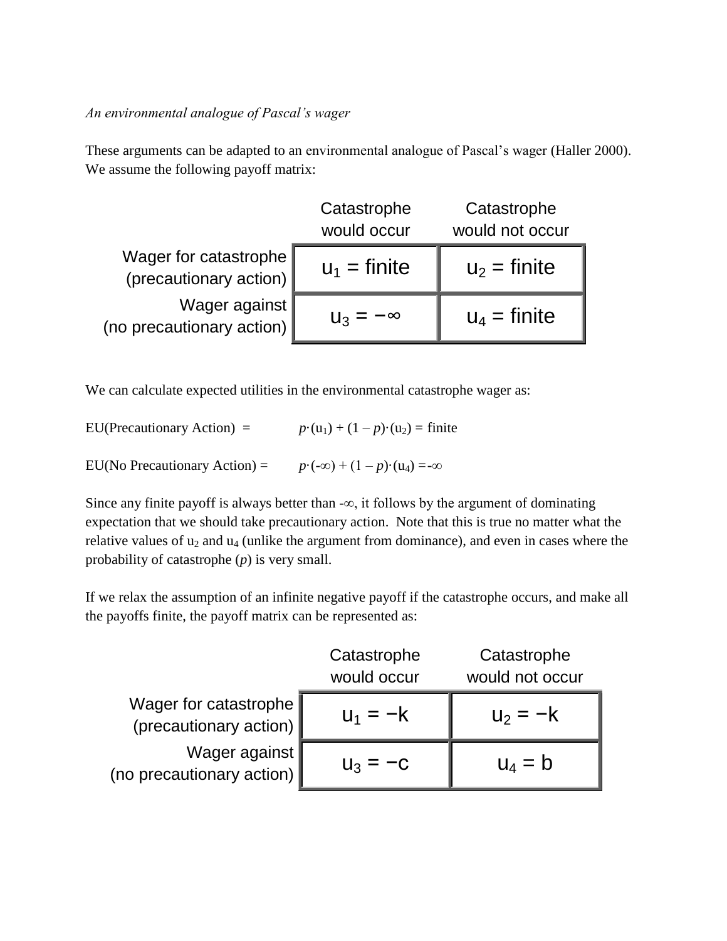*An environmental analogue of Pascal's wager*

These arguments can be adapted to an environmental analogue of Pascal's wager (Haller 2000). We assume the following payoff matrix:

|                                                 | Catastrophe<br>would occur | Catastrophe<br>would not occur |
|-------------------------------------------------|----------------------------|--------------------------------|
| Wager for catastrophe<br>(precautionary action) | $u_1$ = finite             | $u_2$ = finite                 |
| Wager against<br>(no precautionary action)      | $U_3 = -\infty$            | $u_4$ = finite                 |

We can calculate expected utilities in the environmental catastrophe wager as:

EU(Precautionary Action) =  $p \cdot (u_1) + (1 - p) \cdot (u_2) = \text{finite}$ EU(No Precautionary Action) =  $p \cdot (-\infty) + (1 - p) \cdot (u_4) = -\infty$ 

Since any finite payoff is always better than - $\infty$ , it follows by the argument of dominating expectation that we should take precautionary action. Note that this is true no matter what the relative values of  $u_2$  and  $u_4$  (unlike the argument from dominance), and even in cases where the probability of catastrophe (*p*) is very small.

If we relax the assumption of an infinite negative payoff if the catastrophe occurs, and make all the payoffs finite, the payoff matrix can be represented as:

|                                                                                               | Catastrophe<br>would occur | Catastrophe<br>would not occur |
|-----------------------------------------------------------------------------------------------|----------------------------|--------------------------------|
| Wager for catastrophe<br>(precautionary action)<br>Wager against<br>(no precautionary action) |                            | $U_2 = -K$                     |
|                                                                                               | $U_3$ –                    | $U_4 = D$                      |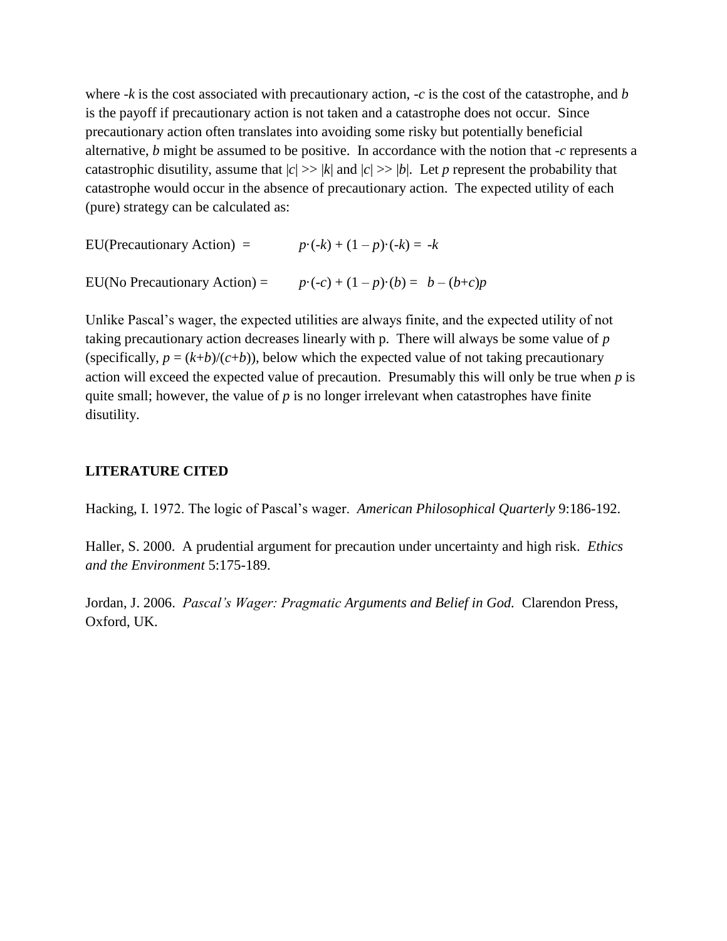where  $-k$  is the cost associated with precautionary action,  $-c$  is the cost of the catastrophe, and *b* is the payoff if precautionary action is not taken and a catastrophe does not occur. Since precautionary action often translates into avoiding some risky but potentially beneficial alternative, *b* might be assumed to be positive. In accordance with the notion that -*c* represents a catastrophic disutility, assume that  $|c| \gg |k|$  and  $|c| \gg |b|$ . Let *p* represent the probability that catastrophe would occur in the absence of precautionary action. The expected utility of each (pure) strategy can be calculated as:

EU(Precautionary Action) =  $p \cdot (-k) + (1-p) \cdot (-k) = -k$ EU(No Precautionary Action) =  $p \cdot (-c) + (1-p) \cdot (b) = b - (b+c)p$ 

Unlike Pascal's wager, the expected utilities are always finite, and the expected utility of not taking precautionary action decreases linearly with p. There will always be some value of *p* (specifically,  $p = (k+b)/(c+b)$ ), below which the expected value of not taking precautionary action will exceed the expected value of precaution. Presumably this will only be true when *p* is quite small; however, the value of  $p$  is no longer irrelevant when catastrophes have finite disutility.

# **LITERATURE CITED**

Hacking, I. 1972. The logic of Pascal's wager. *American Philosophical Quarterly* 9:186-192.

Haller, S. 2000. A prudential argument for precaution under uncertainty and high risk. *Ethics and the Environment* 5:175-189.

Jordan, J. 2006. *Pascal's Wager: Pragmatic Arguments and Belief in God.* Clarendon Press, Oxford, UK.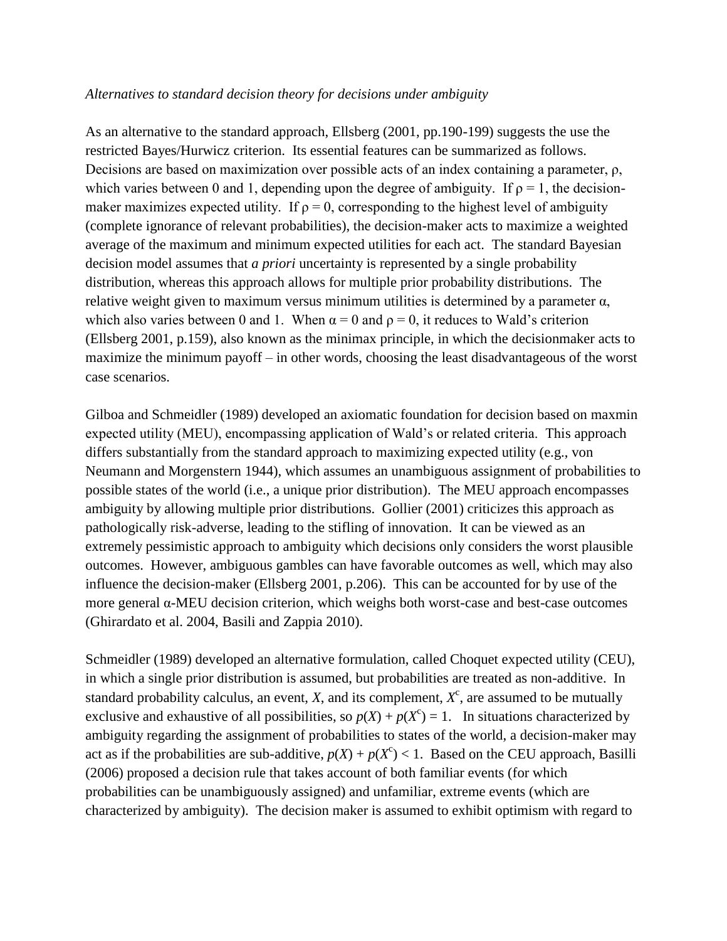# *Alternatives to standard decision theory for decisions under ambiguity*

As an alternative to the standard approach, Ellsberg (2001, pp.190-199) suggests the use the restricted Bayes/Hurwicz criterion. Its essential features can be summarized as follows. Decisions are based on maximization over possible acts of an index containing a parameter, ρ, which varies between 0 and 1, depending upon the degree of ambiguity. If  $\rho = 1$ , the decisionmaker maximizes expected utility. If  $\rho = 0$ , corresponding to the highest level of ambiguity (complete ignorance of relevant probabilities), the decision-maker acts to maximize a weighted average of the maximum and minimum expected utilities for each act. The standard Bayesian decision model assumes that *a priori* uncertainty is represented by a single probability distribution, whereas this approach allows for multiple prior probability distributions. The relative weight given to maximum versus minimum utilities is determined by a parameter  $\alpha$ , which also varies between 0 and 1. When  $\alpha = 0$  and  $\rho = 0$ , it reduces to Wald's criterion (Ellsberg 2001, p.159), also known as the minimax principle, in which the decisionmaker acts to maximize the minimum payoff – in other words, choosing the least disadvantageous of the worst case scenarios.

Gilboa and Schmeidler (1989) developed an axiomatic foundation for decision based on maxmin expected utility (MEU), encompassing application of Wald's or related criteria. This approach differs substantially from the standard approach to maximizing expected utility (e.g., von Neumann and Morgenstern 1944), which assumes an unambiguous assignment of probabilities to possible states of the world (i.e., a unique prior distribution). The MEU approach encompasses ambiguity by allowing multiple prior distributions. Gollier (2001) criticizes this approach as pathologically risk-adverse, leading to the stifling of innovation. It can be viewed as an extremely pessimistic approach to ambiguity which decisions only considers the worst plausible outcomes. However, ambiguous gambles can have favorable outcomes as well, which may also influence the decision-maker (Ellsberg 2001, p.206). This can be accounted for by use of the more general α-MEU decision criterion, which weighs both worst-case and best-case outcomes (Ghirardato et al. 2004, Basili and Zappia 2010).

Schmeidler (1989) developed an alternative formulation, called Choquet expected utility (CEU), in which a single prior distribution is assumed, but probabilities are treated as non-additive. In standard probability calculus, an event,  $X$ , and its complement,  $X<sup>c</sup>$ , are assumed to be mutually exclusive and exhaustive of all possibilities, so  $p(X) + p(X^c) = 1$ . In situations characterized by ambiguity regarding the assignment of probabilities to states of the world, a decision-maker may act as if the probabilities are sub-additive,  $p(X) + p(X^c) < 1$ . Based on the CEU approach, Basilli (2006) proposed a decision rule that takes account of both familiar events (for which probabilities can be unambiguously assigned) and unfamiliar, extreme events (which are characterized by ambiguity). The decision maker is assumed to exhibit optimism with regard to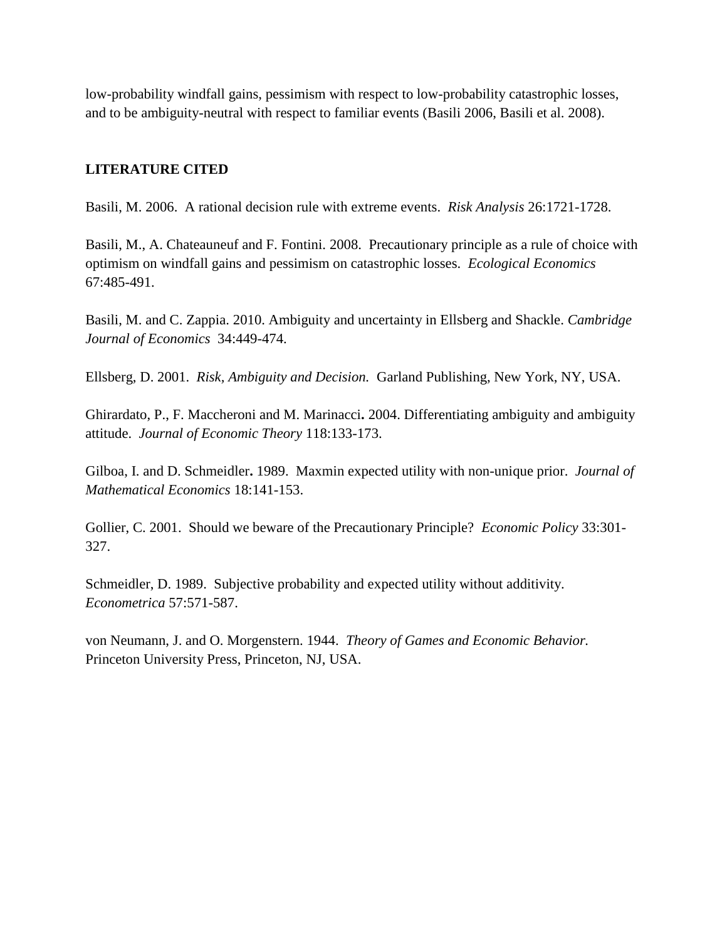low-probability windfall gains, pessimism with respect to low-probability catastrophic losses, and to be ambiguity-neutral with respect to familiar events (Basili 2006, Basili et al. 2008).

# **LITERATURE CITED**

Basili, M. 2006. A rational decision rule with extreme events. *Risk Analysis* 26:1721-1728.

Basili, M., A. Chateauneuf and F. Fontini. 2008. Precautionary principle as a rule of choice with optimism on windfall gains and pessimism on catastrophic losses. *Ecological Economics* 67:485-491.

Basili, M. and C. Zappia. 2010. Ambiguity and uncertainty in Ellsberg and Shackle. *Cambridge Journal of Economics* 34:449-474.

Ellsberg, D. 2001. *Risk, Ambiguity and Decision.* Garland Publishing, New York, NY, USA.

Ghirardato, P., F. Maccheroni and M. Marinacci**.** 2004. Differentiating ambiguity and ambiguity attitude. *Journal of Economic Theory* 118:133-173.

Gilboa, I. and D. Schmeidler**.** 1989. Maxmin expected utility with non-unique prior. *Journal of Mathematical Economics* 18:141-153.

Gollier, C. 2001. Should we beware of the Precautionary Principle? *Economic Policy* 33:301- 327.

Schmeidler, D. 1989. Subjective probability and expected utility without additivity. *Econometrica* 57:571-587.

von Neumann, J. and O. Morgenstern. 1944. *Theory of Games and Economic Behavior.* Princeton University Press, Princeton, NJ, USA.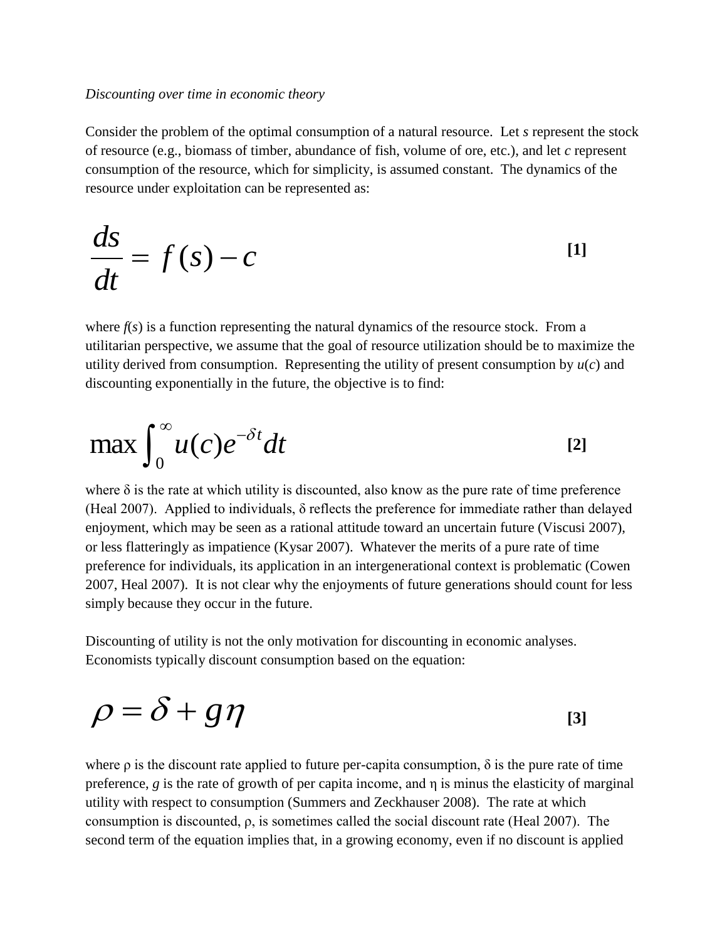#### *Discounting over time in economic theory*

Consider the problem of the optimal consumption of a natural resource. Let *s* represent the stock of resource (e.g., biomass of timber, abundance of fish, volume of ore, etc.), and let *c* represent consumption of the resource, which for simplicity, is assumed constant. The dynamics of the resource under exploitation can be represented as:

$$
\frac{ds}{dt} = f(s) - c \tag{1}
$$

where  $f(s)$  is a function representing the natural dynamics of the resource stock. From a utilitarian perspective, we assume that the goal of resource utilization should be to maximize the utility derived from consumption. Representing the utility of present consumption by  $u(c)$  and discounting exponentially in the future, the objective is to find:

$$
\max \int_0^\infty u(c)e^{-\delta t}dt
$$
 [2]

where  $\delta$  is the rate at which utility is discounted, also know as the pure rate of time preference (Heal 2007). Applied to individuals, δ reflects the preference for immediate rather than delayed enjoyment, which may be seen as a rational attitude toward an uncertain future (Viscusi 2007), or less flatteringly as impatience (Kysar 2007). Whatever the merits of a pure rate of time preference for individuals, its application in an intergenerational context is problematic (Cowen 2007, Heal 2007). It is not clear why the enjoyments of future generations should count for less simply because they occur in the future.

Discounting of utility is not the only motivation for discounting in economic analyses. Economists typically discount consumption based on the equation:

$$
\rho = \delta + g\eta \tag{3}
$$

where  $\rho$  is the discount rate applied to future per-capita consumption,  $\delta$  is the pure rate of time preference, *g* is the rate of growth of per capita income, and η is minus the elasticity of marginal utility with respect to consumption (Summers and Zeckhauser 2008). The rate at which consumption is discounted, ρ, is sometimes called the social discount rate (Heal 2007). The second term of the equation implies that, in a growing economy, even if no discount is applied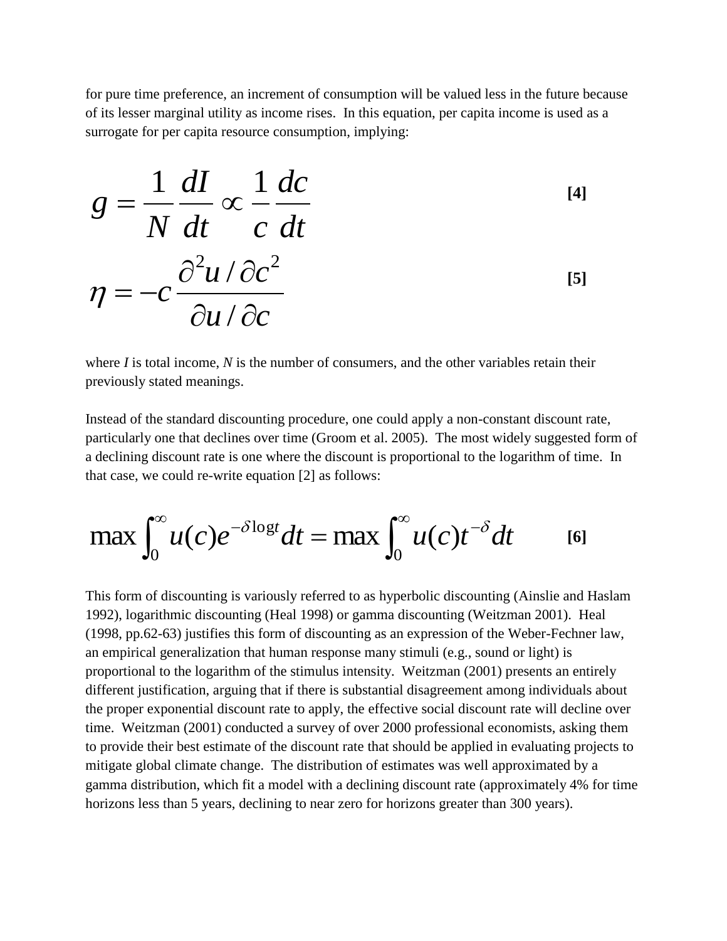for pure time preference, an increment of consumption will be valued less in the future because of its lesser marginal utility as income rises. In this equation, per capita income is used as a surrogate for per capita resource consumption, implying:

$$
g = \frac{1}{N} \frac{dI}{dt} \propto \frac{1}{c} \frac{dc}{dt}
$$
  

$$
\eta = -c \frac{\partial^2 u / \partial c^2}{\partial u / \partial c}
$$
 [5]

where *I* is total income, *N* is the number of consumers, and the other variables retain their previously stated meanings.

Instead of the standard discounting procedure, one could apply a non-constant discount rate, particularly one that declines over time (Groom et al. 2005). The most widely suggested form of a declining discount rate is one where the discount is proportional to the logarithm of time. In that case, we could re-write equation [2] as follows:

$$
\max \int_0^\infty u(c)e^{-\delta \log t}dt = \max \int_0^\infty u(c)t^{-\delta}dt \qquad \text{[6]}
$$

This form of discounting is variously referred to as hyperbolic discounting (Ainslie and Haslam 1992), logarithmic discounting (Heal 1998) or gamma discounting (Weitzman 2001). Heal (1998, pp.62-63) justifies this form of discounting as an expression of the Weber-Fechner law, an empirical generalization that human response many stimuli (e.g., sound or light) is proportional to the logarithm of the stimulus intensity. Weitzman (2001) presents an entirely different justification, arguing that if there is substantial disagreement among individuals about the proper exponential discount rate to apply, the effective social discount rate will decline over time. Weitzman (2001) conducted a survey of over 2000 professional economists, asking them to provide their best estimate of the discount rate that should be applied in evaluating projects to mitigate global climate change. The distribution of estimates was well approximated by a gamma distribution, which fit a model with a declining discount rate (approximately 4% for time horizons less than 5 years, declining to near zero for horizons greater than 300 years).